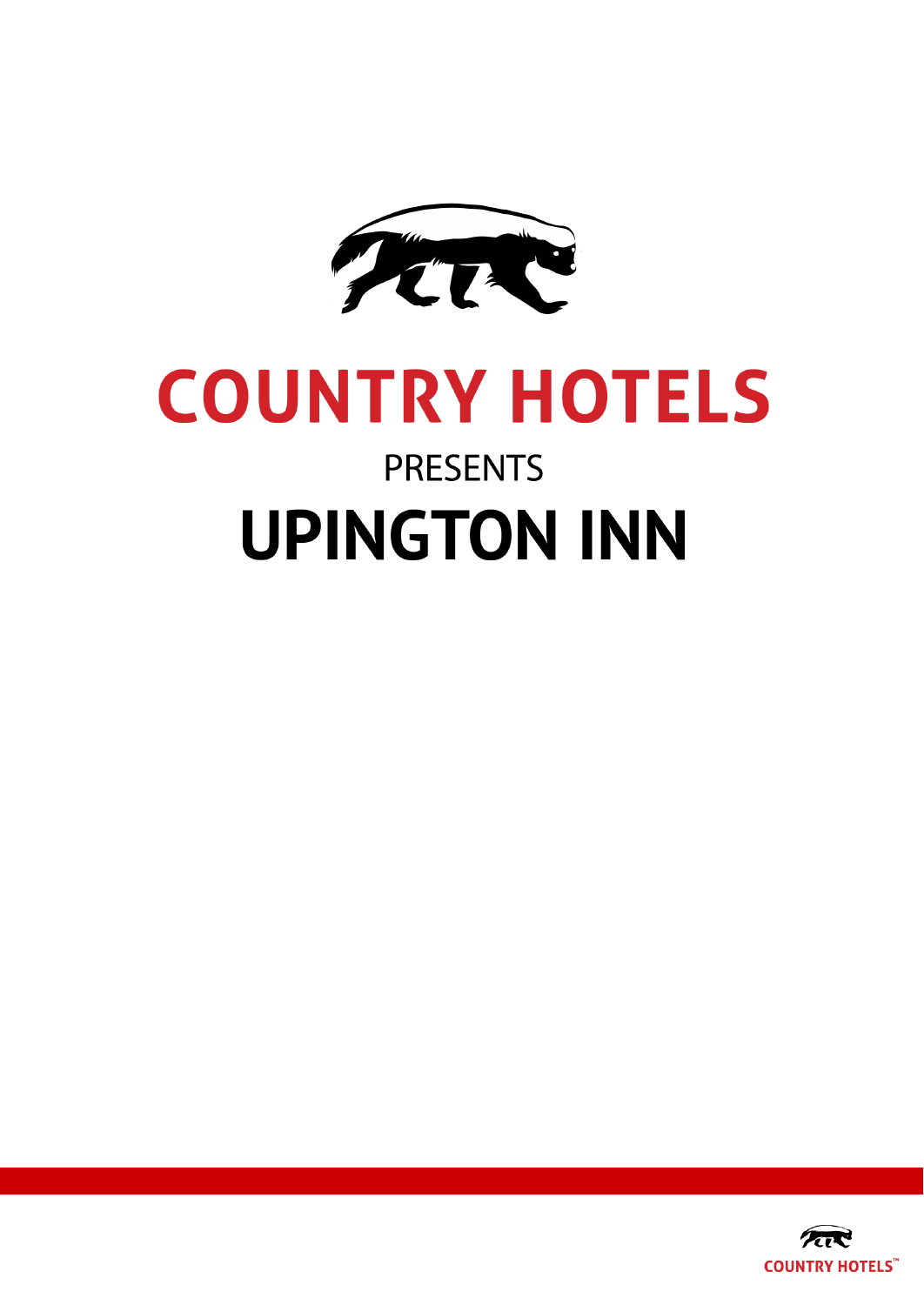

# **COUNTRY HOTELS PRESENTS UPINGTON INN**

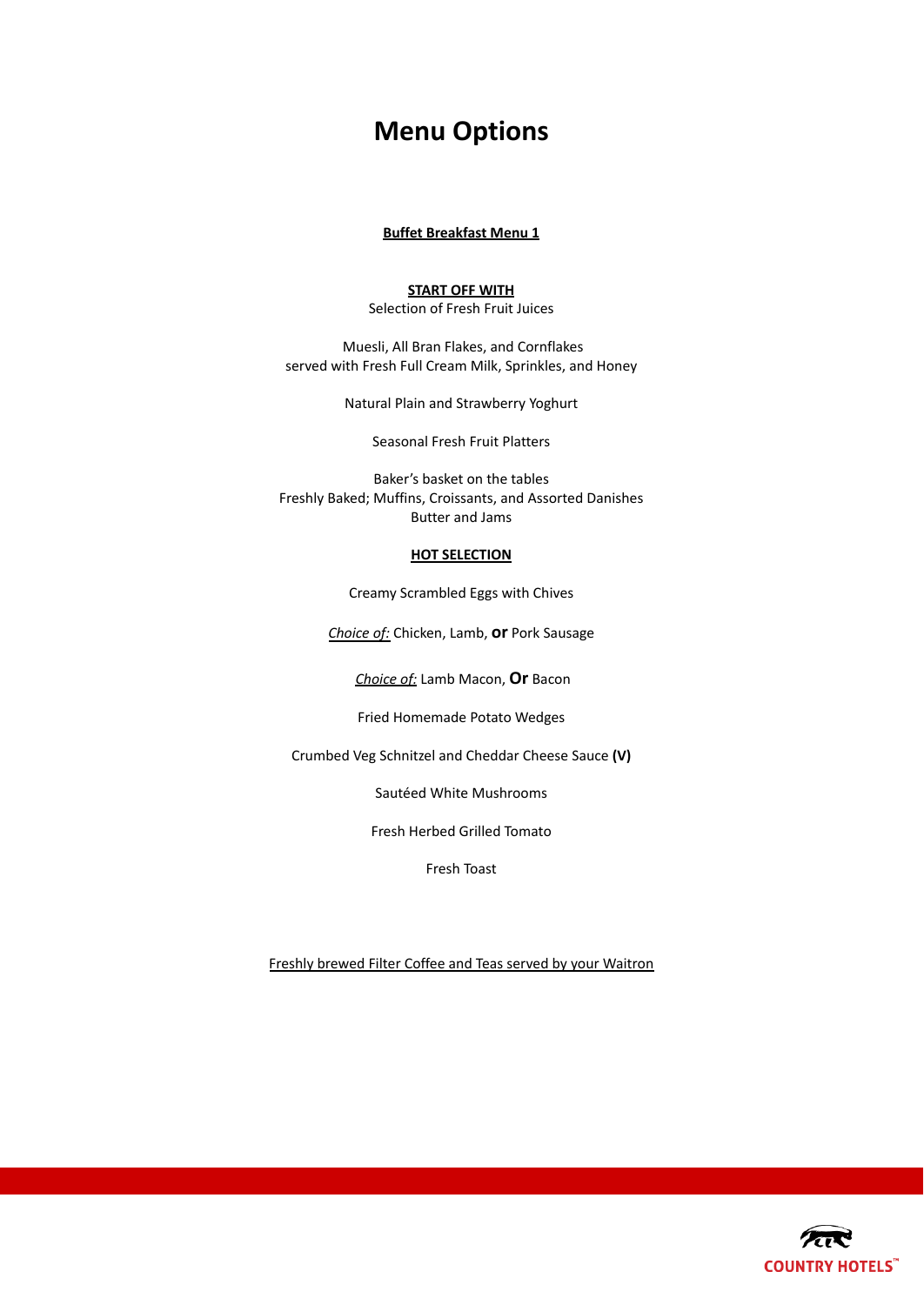# **Menu Options**

# **Buffet Breakfast Menu 1**

# **START OFF WITH**

Selection of Fresh Fruit Juices

Muesli, All Bran Flakes, and Cornflakes served with Fresh Full Cream Milk, Sprinkles, and Honey

Natural Plain and Strawberry Yoghurt

Seasonal Fresh Fruit Platters

Baker's basket on the tables Freshly Baked; Muffins, Croissants, and Assorted Danishes Butter and Jams

# **HOT SELECTION**

Creamy Scrambled Eggs with Chives

*Choice of:* Chicken, Lamb, **or** Pork Sausage

*Choice of:* Lamb Macon, **Or** Bacon

Fried Homemade Potato Wedges

Crumbed Veg Schnitzel and Cheddar Cheese Sauce **(V)**

Sautéed White Mushrooms

Fresh Herbed Grilled Tomato

Fresh Toast

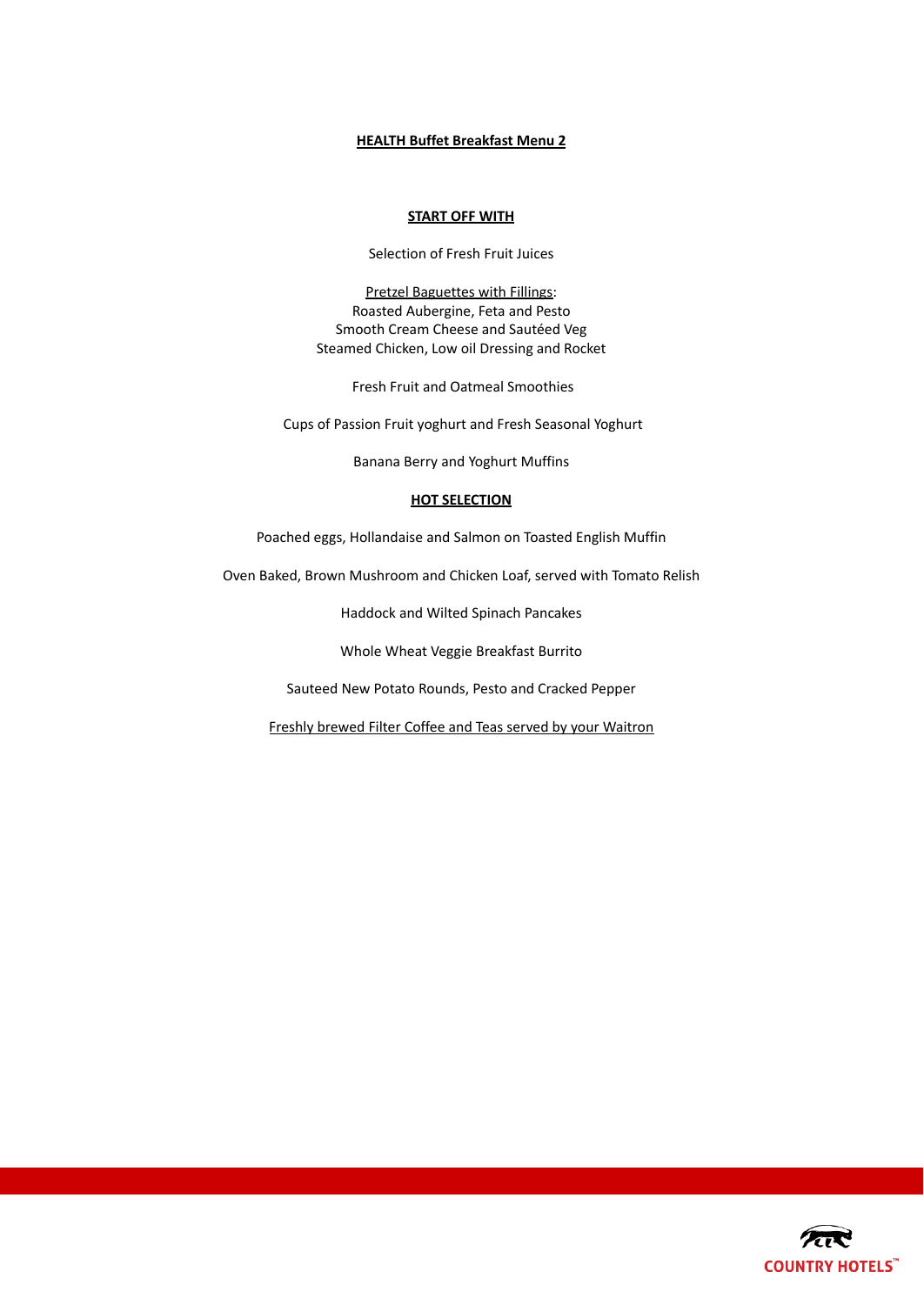# **HEALTH Buffet Breakfast Menu 2**

# **START OFF WITH**

Selection of Fresh Fruit Juices

Pretzel Baguettes with Fillings: Roasted Aubergine, Feta and Pesto Smooth Cream Cheese and Sautéed Veg Steamed Chicken, Low oil Dressing and Rocket

Fresh Fruit and Oatmeal Smoothies

Cups of Passion Fruit yoghurt and Fresh Seasonal Yoghurt

Banana Berry and Yoghurt Muffins

# **HOT SELECTION**

Poached eggs, Hollandaise and Salmon on Toasted English Muffin

Oven Baked, Brown Mushroom and Chicken Loaf, served with Tomato Relish

Haddock and Wilted Spinach Pancakes

Whole Wheat Veggie Breakfast Burrito

Sauteed New Potato Rounds, Pesto and Cracked Pepper

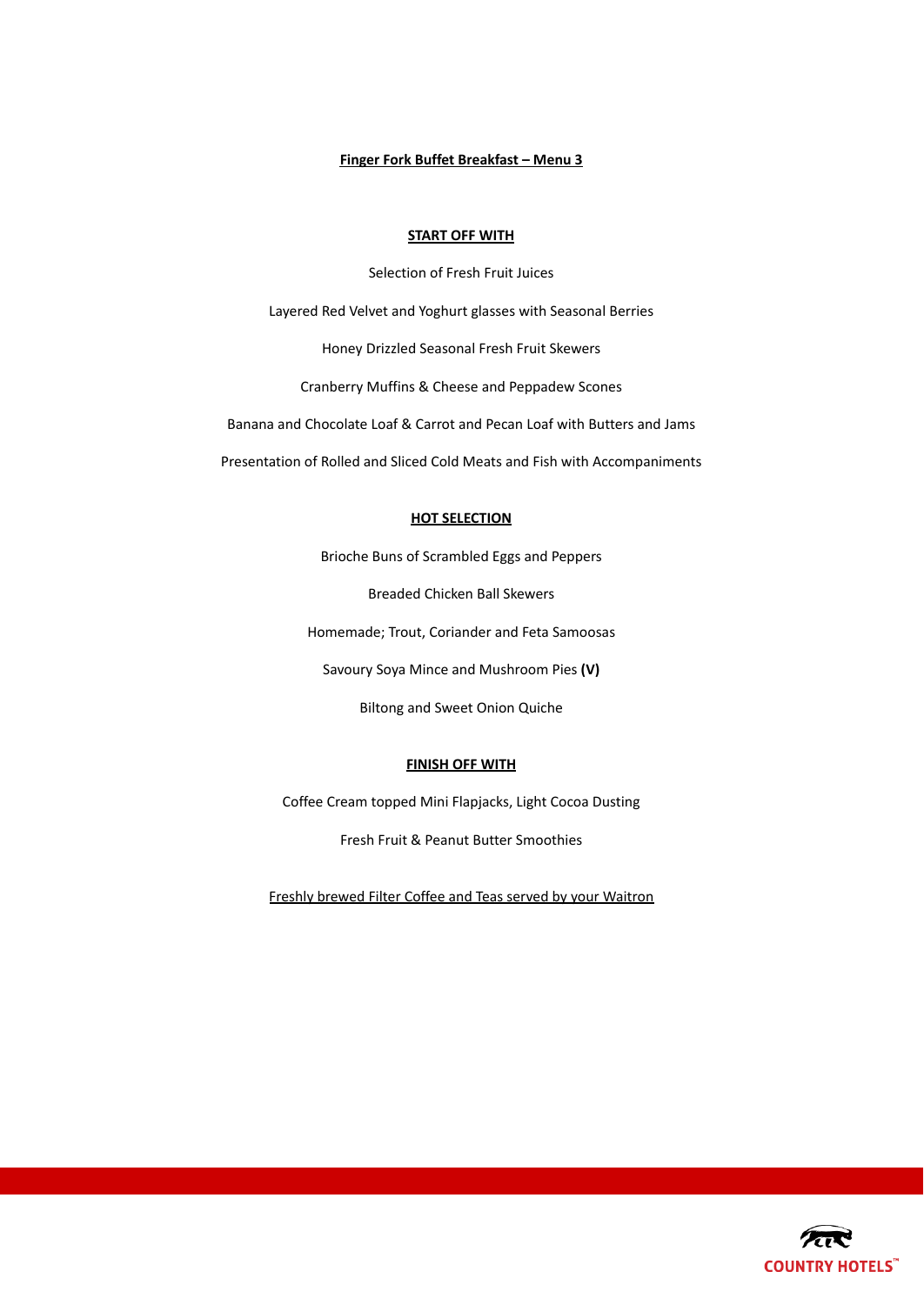# **Finger Fork Buffet Breakfast – Menu 3**

#### **START OFF WITH**

Selection of Fresh Fruit Juices Layered Red Velvet and Yoghurt glasses with Seasonal Berries Honey Drizzled Seasonal Fresh Fruit Skewers Cranberry Muffins & Cheese and Peppadew Scones Banana and Chocolate Loaf & Carrot and Pecan Loaf with Butters and Jams Presentation of Rolled and Sliced Cold Meats and Fish with Accompaniments

# **HOT SELECTION**

Brioche Buns of Scrambled Eggs and Peppers

Breaded Chicken Ball Skewers

Homemade; Trout, Coriander and Feta Samoosas

Savoury Soya Mince and Mushroom Pies **(V)**

Biltong and Sweet Onion Quiche

# **FINISH OFF WITH**

Coffee Cream topped Mini Flapjacks, Light Cocoa Dusting

Fresh Fruit & Peanut Butter Smoothies

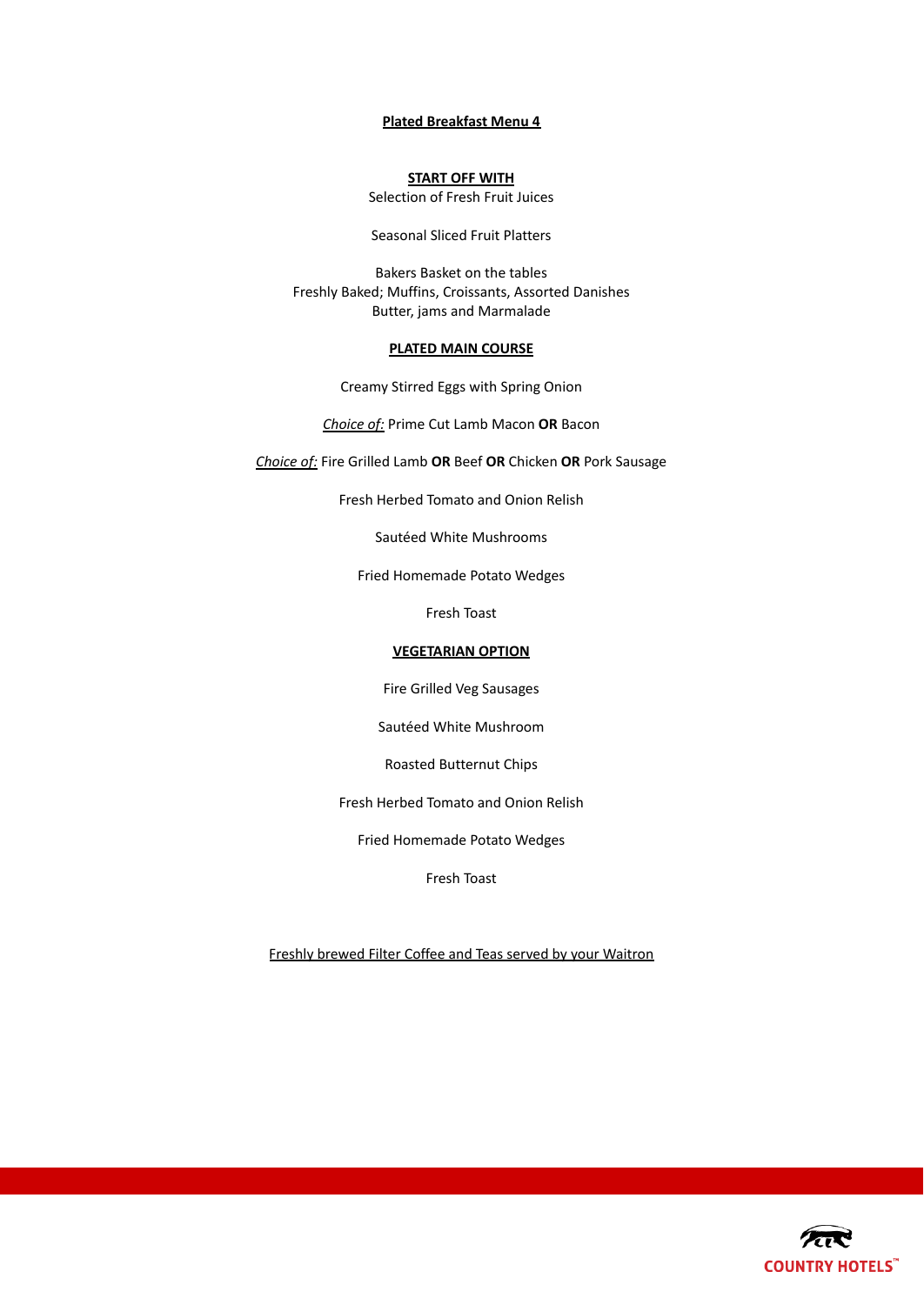## **Plated Breakfast Menu 4**

# **START OFF WITH**

Selection of Fresh Fruit Juices

Seasonal Sliced Fruit Platters

Bakers Basket on the tables Freshly Baked; Muffins, Croissants, Assorted Danishes Butter, jams and Marmalade

# **PLATED MAIN COURSE**

Creamy Stirred Eggs with Spring Onion

*Choice of:* Prime Cut Lamb Macon **OR** Bacon

*Choice of:* Fire Grilled Lamb **OR** Beef **OR** Chicken **OR** Pork Sausage

Fresh Herbed Tomato and Onion Relish

Sautéed White Mushrooms

Fried Homemade Potato Wedges

Fresh Toast

# **VEGETARIAN OPTION**

Fire Grilled Veg Sausages

Sautéed White Mushroom

Roasted Butternut Chips

Fresh Herbed Tomato and Onion Relish

Fried Homemade Potato Wedges

Fresh Toast

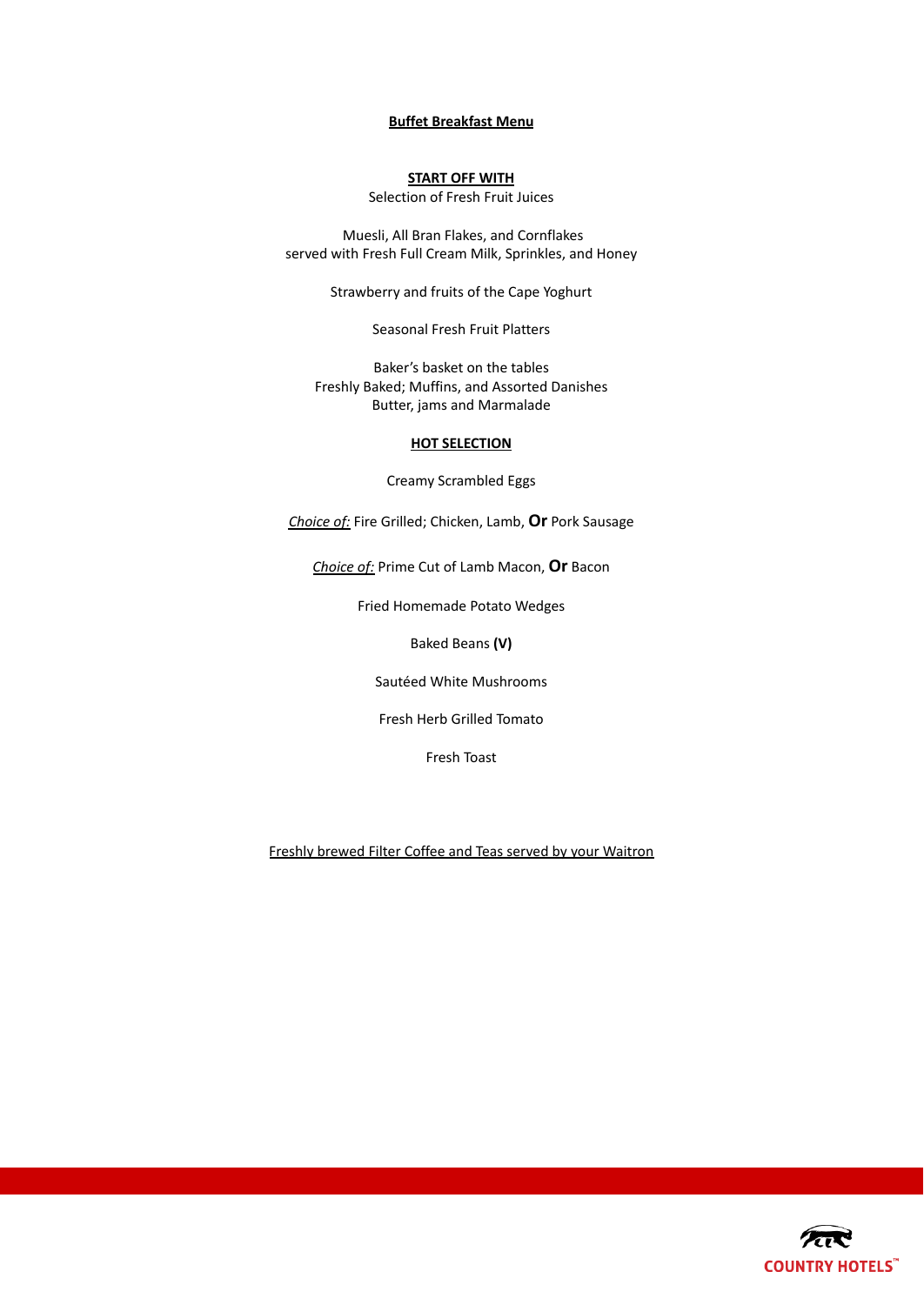# **Buffet Breakfast Menu**

# **START OFF WITH**

Selection of Fresh Fruit Juices

Muesli, All Bran Flakes, and Cornflakes served with Fresh Full Cream Milk, Sprinkles, and Honey

Strawberry and fruits of the Cape Yoghurt

Seasonal Fresh Fruit Platters

Baker's basket on the tables Freshly Baked; Muffins, and Assorted Danishes Butter, jams and Marmalade

# **HOT SELECTION**

Creamy Scrambled Eggs

*Choice of:* Fire Grilled; Chicken, Lamb, **Or** Pork Sausage

*Choice of:* Prime Cut of Lamb Macon, **Or** Bacon

Fried Homemade Potato Wedges

Baked Beans **(V)**

Sautéed White Mushrooms

Fresh Herb Grilled Tomato

Fresh Toast

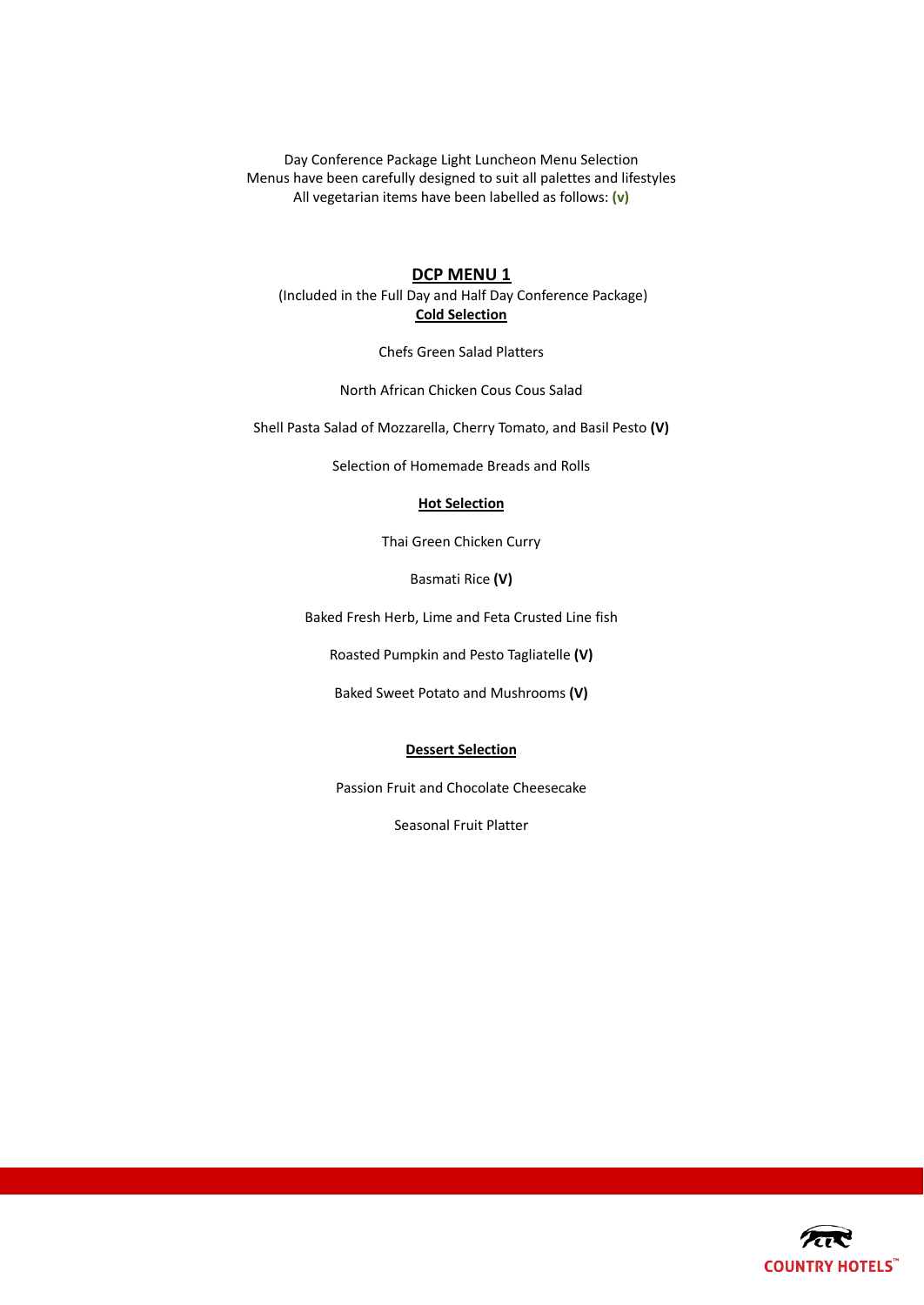Day Conference Package Light Luncheon Menu Selection Menus have been carefully designed to suit all palettes and lifestyles All vegetarian items have been labelled as follows: **(v)**

# **DCP MENU 1**

(Included in the Full Day and Half Day Conference Package) **Cold Selection**

Chefs Green Salad Platters

North African Chicken Cous Cous Salad

Shell Pasta Salad of Mozzarella, Cherry Tomato, and Basil Pesto **(V)**

Selection of Homemade Breads and Rolls

#### **Hot Selection**

Thai Green Chicken Curry

Basmati Rice **(V)**

Baked Fresh Herb, Lime and Feta Crusted Line fish

Roasted Pumpkin and Pesto Tagliatelle **(V)**

Baked Sweet Potato and Mushrooms **(V)**

#### **Dessert Selection**

Passion Fruit and Chocolate Cheesecake

Seasonal Fruit Platter

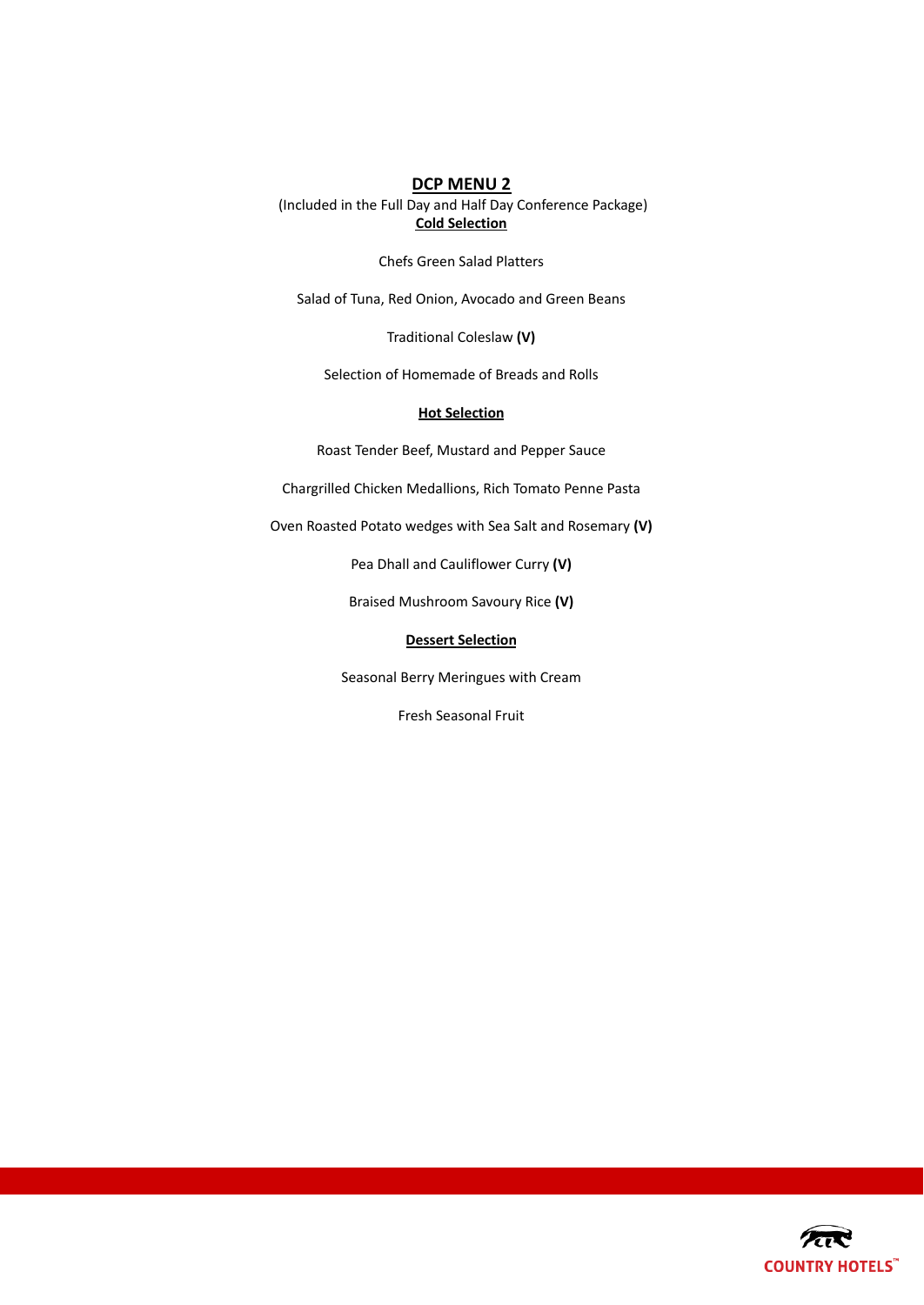(Included in the Full Day and Half Day Conference Package) **Cold Selection**

Chefs Green Salad Platters

Salad of Tuna, Red Onion, Avocado and Green Beans

Traditional Coleslaw **(V)**

Selection of Homemade of Breads and Rolls

#### **Hot Selection**

Roast Tender Beef, Mustard and Pepper Sauce

Chargrilled Chicken Medallions, Rich Tomato Penne Pasta

Oven Roasted Potato wedges with Sea Salt and Rosemary **(V)**

Pea Dhall and Cauliflower Curry **(V)**

Braised Mushroom Savoury Rice **(V)**

# **Dessert Selection**

Seasonal Berry Meringues with Cream

Fresh Seasonal Fruit

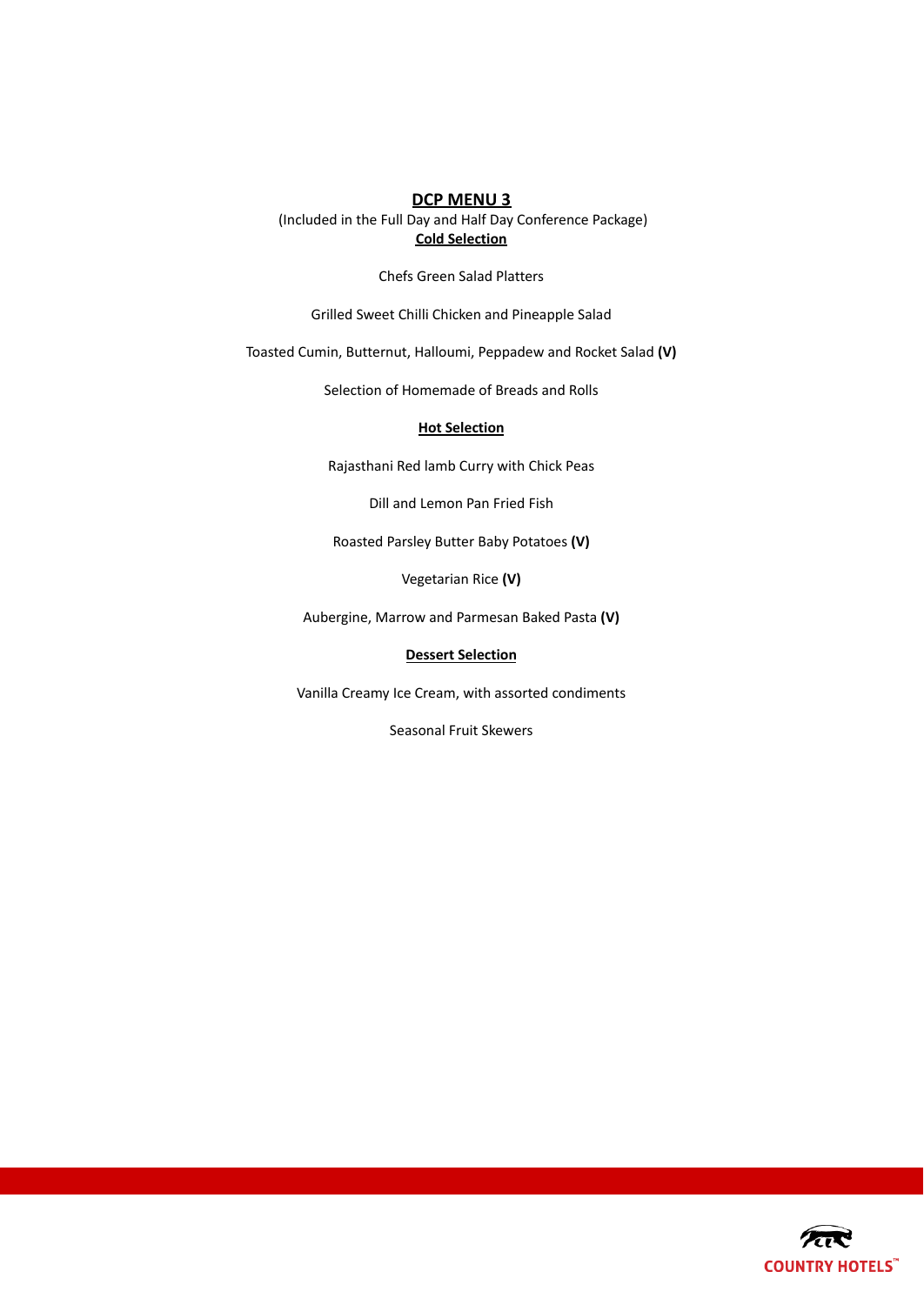(Included in the Full Day and Half Day Conference Package) **Cold Selection**

Chefs Green Salad Platters

Grilled Sweet Chilli Chicken and Pineapple Salad

Toasted Cumin, Butternut, Halloumi, Peppadew and Rocket Salad **(V)**

Selection of Homemade of Breads and Rolls

# **Hot Selection**

Rajasthani Red lamb Curry with Chick Peas

Dill and Lemon Pan Fried Fish

Roasted Parsley Butter Baby Potatoes **(V)**

Vegetarian Rice **(V)**

Aubergine, Marrow and Parmesan Baked Pasta **(V)**

# **Dessert Selection**

Vanilla Creamy Ice Cream, with assorted condiments

Seasonal Fruit Skewers

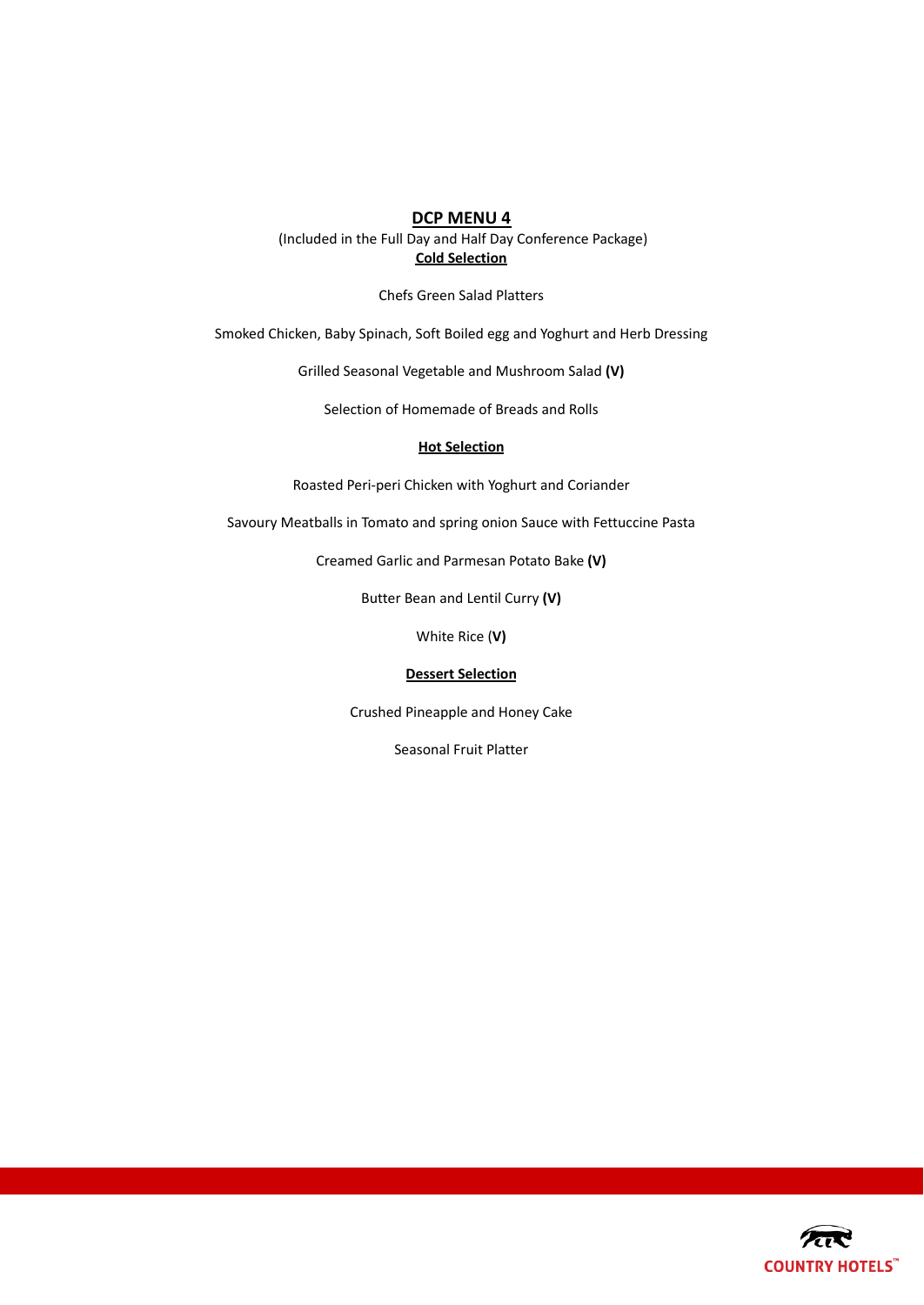(Included in the Full Day and Half Day Conference Package) **Cold Selection**

Chefs Green Salad Platters

Smoked Chicken, Baby Spinach, Soft Boiled egg and Yoghurt and Herb Dressing

Grilled Seasonal Vegetable and Mushroom Salad **(V)**

Selection of Homemade of Breads and Rolls

#### **Hot Selection**

Roasted Peri-peri Chicken with Yoghurt and Coriander

Savoury Meatballs in Tomato and spring onion Sauce with Fettuccine Pasta

Creamed Garlic and Parmesan Potato Bake **(V)**

Butter Bean and Lentil Curry **(V)**

White Rice (**V)**

#### **Dessert Selection**

Crushed Pineapple and Honey Cake

Seasonal Fruit Platter

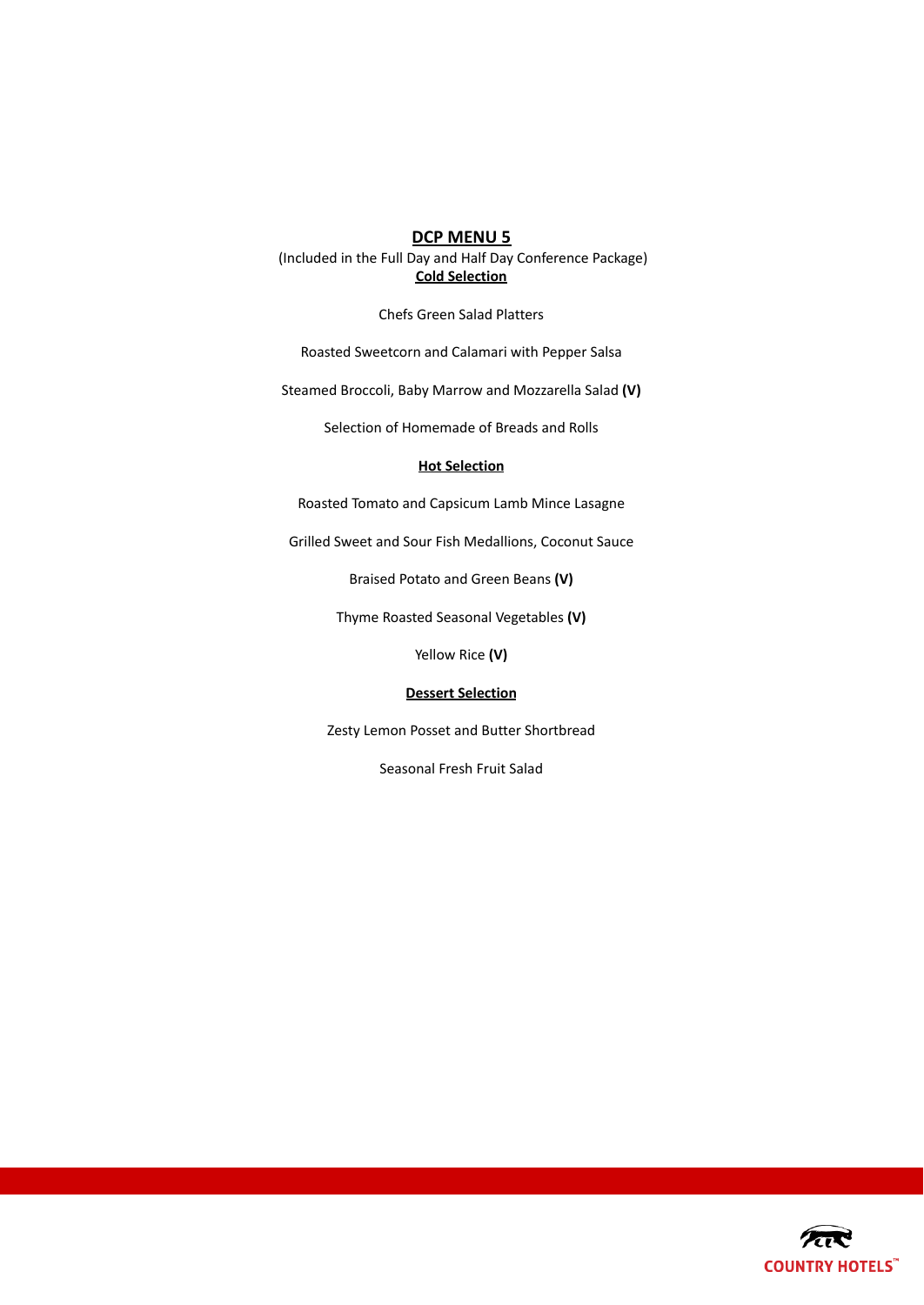(Included in the Full Day and Half Day Conference Package) **Cold Selection**

Chefs Green Salad Platters

Roasted Sweetcorn and Calamari with Pepper Salsa

Steamed Broccoli, Baby Marrow and Mozzarella Salad **(V)**

Selection of Homemade of Breads and Rolls

# **Hot Selection**

Roasted Tomato and Capsicum Lamb Mince Lasagne

Grilled Sweet and Sour Fish Medallions, Coconut Sauce

Braised Potato and Green Beans **(V)**

Thyme Roasted Seasonal Vegetables **(V)**

Yellow Rice **(V)**

# **Dessert Selection**

Zesty Lemon Posset and Butter Shortbread

Seasonal Fresh Fruit Salad

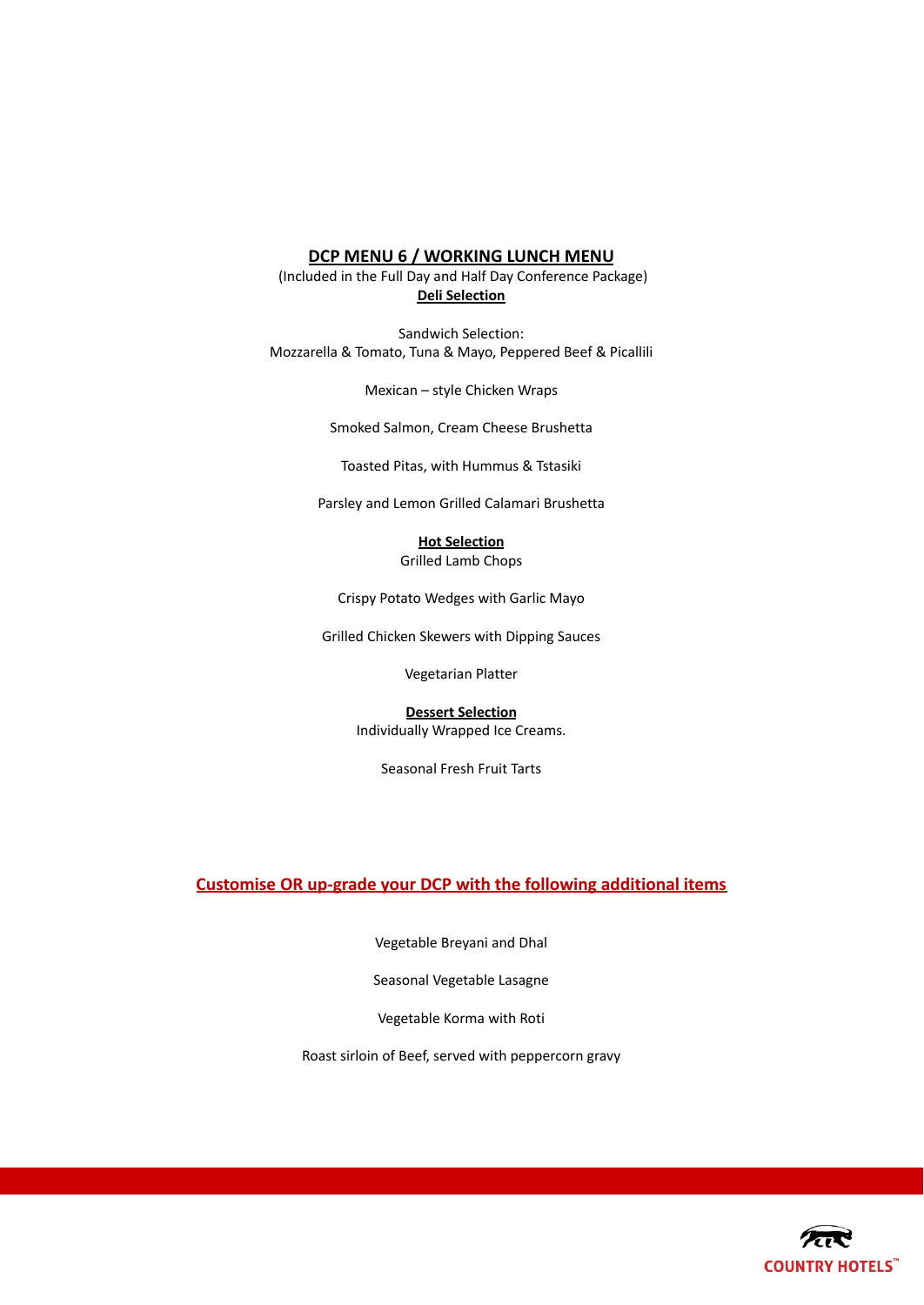# **DCP MENU 6 / WORKING LUNCH MENU**

(Included in the Full Day and Half Day Conference Package) **Deli Selection**

Sandwich Selection: Mozzarella & Tomato, Tuna & Mayo, Peppered Beef & Picallili

Mexican – style Chicken Wraps

Smoked Salmon, Cream Cheese Brushetta

Toasted Pitas, with Hummus & Tstasiki

Parsley and Lemon Grilled Calamari Brushetta

# **Hot Selection**

Grilled Lamb Chops

Crispy Potato Wedges with Garlic Mayo

Grilled Chicken Skewers with Dipping Sauces

Vegetarian Platter

**Dessert Selection** Individually Wrapped Ice Creams.

Seasonal Fresh Fruit Tarts

# **Customise OR up-grade your DCP with the following additional items**

Vegetable Breyani and Dhal

Seasonal Vegetable Lasagne

Vegetable Korma with Roti

Roast sirloin of Beef, served with peppercorn gravy

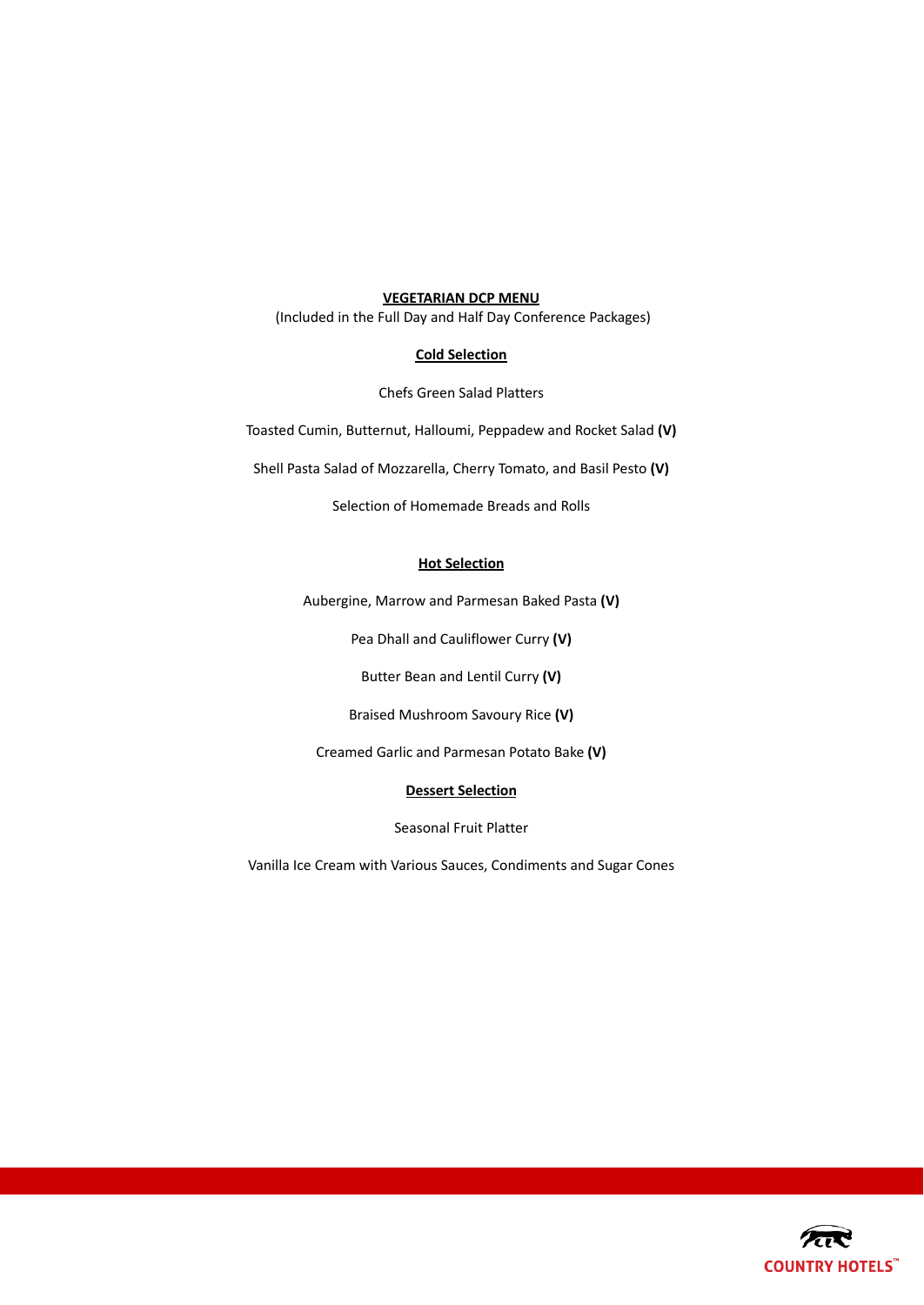## **VEGETARIAN DCP MENU**

(Included in the Full Day and Half Day Conference Packages)

# **Cold Selection**

Chefs Green Salad Platters

Toasted Cumin, Butternut, Halloumi, Peppadew and Rocket Salad **(V)**

Shell Pasta Salad of Mozzarella, Cherry Tomato, and Basil Pesto **(V)**

Selection of Homemade Breads and Rolls

# **Hot Selection**

Aubergine, Marrow and Parmesan Baked Pasta **(V)**

Pea Dhall and Cauliflower Curry **(V)**

Butter Bean and Lentil Curry **(V)**

Braised Mushroom Savoury Rice **(V)**

Creamed Garlic and Parmesan Potato Bake **(V)**

# **Dessert Selection**

Seasonal Fruit Platter

Vanilla Ice Cream with Various Sauces, Condiments and Sugar Cones

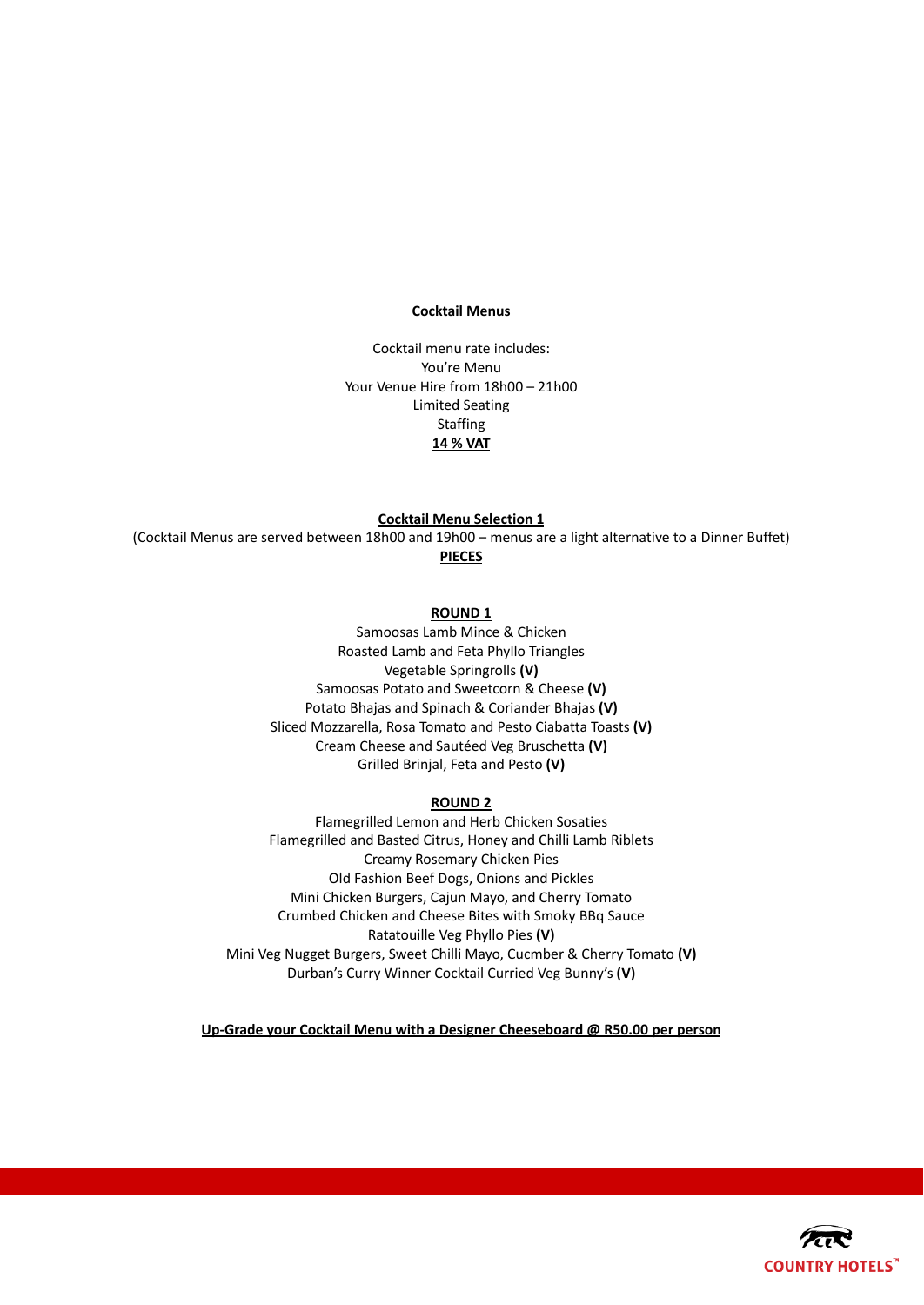#### **Cocktail Menus**

Cocktail menu rate includes: You're Menu Your Venue Hire from 18h00 – 21h00 Limited Seating Staffing **14 % VAT**

### **Cocktail Menu Selection 1**

(Cocktail Menus are served between 18h00 and 19h00 – menus are a light alternative to a Dinner Buffet) **PIECES**

# **ROUND 1**

Samoosas Lamb Mince & Chicken Roasted Lamb and Feta Phyllo Triangles Vegetable Springrolls **(V)** Samoosas Potato and Sweetcorn & Cheese **(V)** Potato Bhajas and Spinach & Coriander Bhajas **(V)** Sliced Mozzarella, Rosa Tomato and Pesto Ciabatta Toasts **(V)** Cream Cheese and Sautéed Veg Bruschetta **(V)** Grilled Brinjal, Feta and Pesto **(V)**

#### **ROUND 2**

Flamegrilled Lemon and Herb Chicken Sosaties Flamegrilled and Basted Citrus, Honey and Chilli Lamb Riblets Creamy Rosemary Chicken Pies Old Fashion Beef Dogs, Onions and Pickles Mini Chicken Burgers, Cajun Mayo, and Cherry Tomato Crumbed Chicken and Cheese Bites with Smoky BBq Sauce Ratatouille Veg Phyllo Pies **(V)** Mini Veg Nugget Burgers, Sweet Chilli Mayo, Cucmber & Cherry Tomato **(V)** Durban's Curry Winner Cocktail Curried Veg Bunny's **(V)**

**Up-Grade your Cocktail Menu with a Designer Cheeseboard @ R50.00 per person**

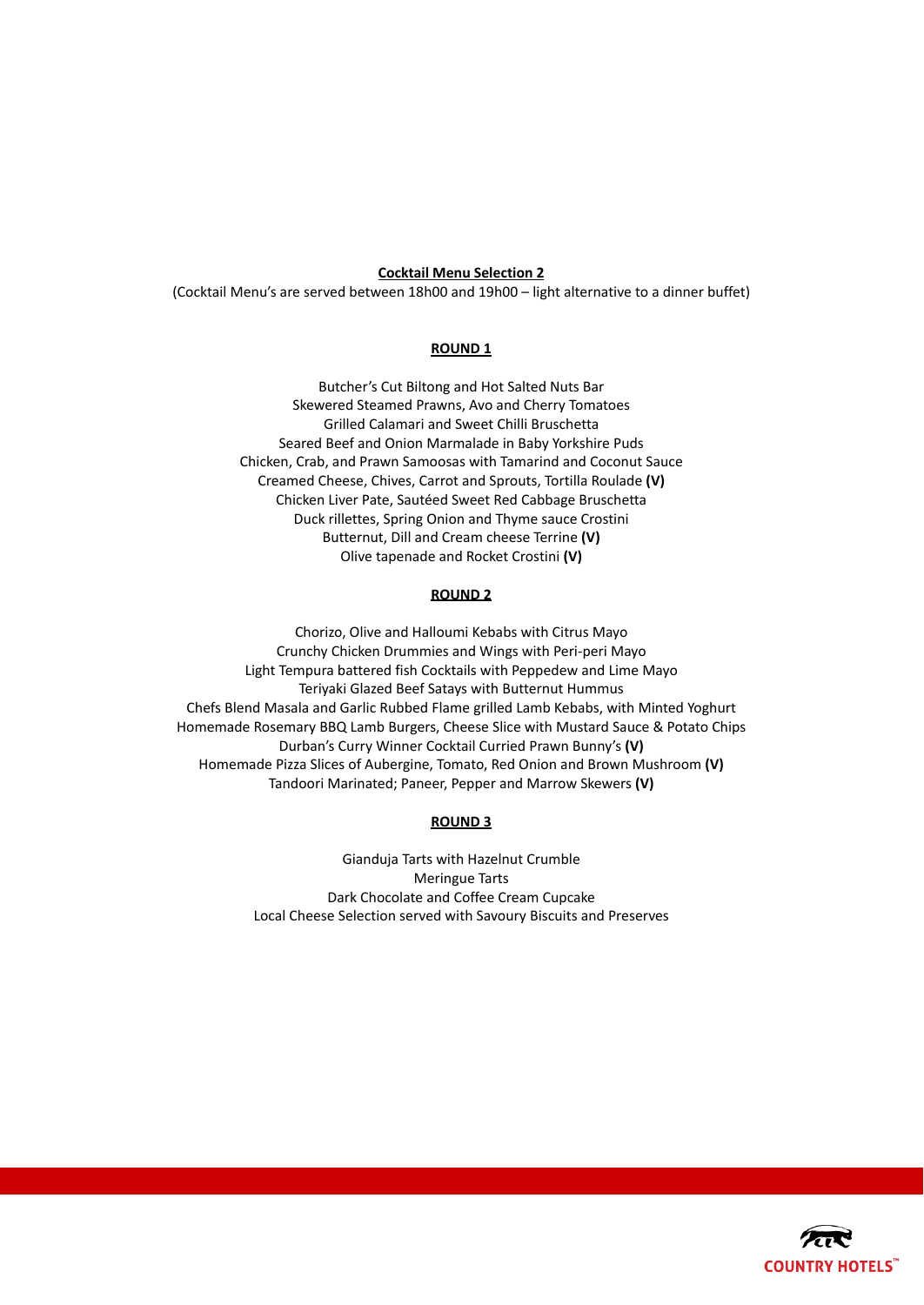#### **Cocktail Menu Selection 2**

(Cocktail Menu's are served between 18h00 and 19h00 – light alternative to a dinner buffet)

# **ROUND 1**

Butcher's Cut Biltong and Hot Salted Nuts Bar Skewered Steamed Prawns, Avo and Cherry Tomatoes Grilled Calamari and Sweet Chilli Bruschetta Seared Beef and Onion Marmalade in Baby Yorkshire Puds Chicken, Crab, and Prawn Samoosas with Tamarind and Coconut Sauce Creamed Cheese, Chives, Carrot and Sprouts, Tortilla Roulade **(V)** Chicken Liver Pate, Sautéed Sweet Red Cabbage Bruschetta Duck rillettes, Spring Onion and Thyme sauce Crostini Butternut, Dill and Cream cheese Terrine **(V)** Olive tapenade and Rocket Crostini **(V)**

#### **ROUND 2**

Chorizo, Olive and Halloumi Kebabs with Citrus Mayo Crunchy Chicken Drummies and Wings with Peri-peri Mayo Light Tempura battered fish Cocktails with Peppedew and Lime Mayo Teriyaki Glazed Beef Satays with Butternut Hummus Chefs Blend Masala and Garlic Rubbed Flame grilled Lamb Kebabs, with Minted Yoghurt Homemade Rosemary BBQ Lamb Burgers, Cheese Slice with Mustard Sauce & Potato Chips Durban's Curry Winner Cocktail Curried Prawn Bunny's **(V)** Homemade Pizza Slices of Aubergine, Tomato, Red Onion and Brown Mushroom **(V)** Tandoori Marinated; Paneer, Pepper and Marrow Skewers **(V)**

#### **ROUND 3**

Gianduja Tarts with Hazelnut Crumble Meringue Tarts Dark Chocolate and Coffee Cream Cupcake Local Cheese Selection served with Savoury Biscuits and Preserves

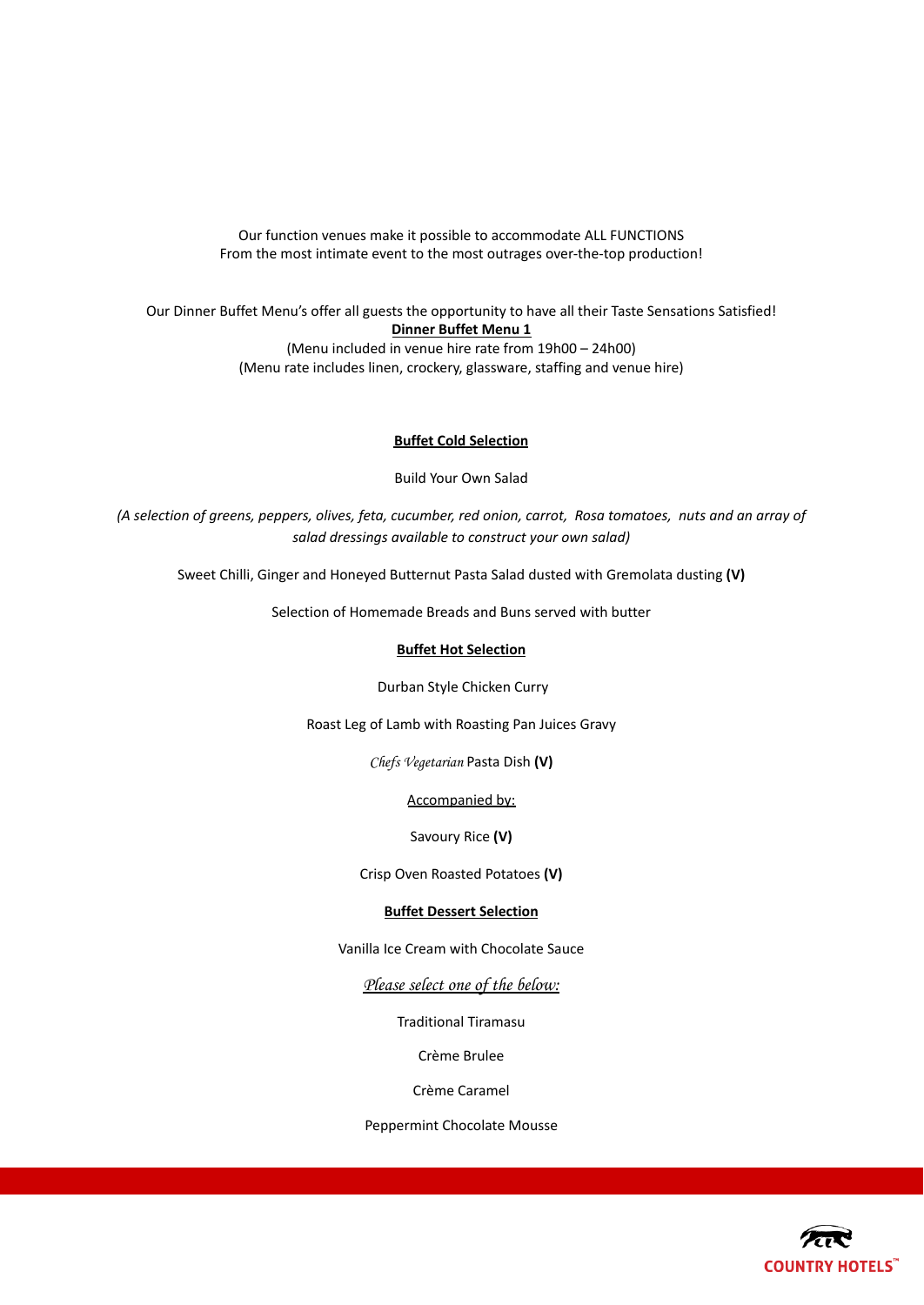Our function venues make it possible to accommodate ALL FUNCTIONS From the most intimate event to the most outrages over-the-top production!

Our Dinner Buffet Menu's offer all guests the opportunity to have all their Taste Sensations Satisfied! **Dinner Buffet Menu 1** (Menu included in venue hire rate from 19h00 – 24h00) (Menu rate includes linen, crockery, glassware, staffing and venue hire)

# **Buffet Cold Selection**

Build Your Own Salad

(A selection of greens, peppers, olives, feta, cucumber, red onion, carrot, Rosa tomatoes, nuts and an array of *salad dressings available to construct your own salad)*

Sweet Chilli, Ginger and Honeyed Butternut Pasta Salad dusted with Gremolata dusting **(V)**

Selection of Homemade Breads and Buns served with butter

#### **Buffet Hot Selection**

Durban Style Chicken Curry

Roast Leg of Lamb with Roasting Pan Juices Gravy

Chefs Vegetarian Pasta Dish **(V)**

Accompanied by:

Savoury Rice **(V)**

Crisp Oven Roasted Potatoes **(V)**

# **Buffet Dessert Selection**

Vanilla Ice Cream with Chocolate Sauce

Please select one of the below:

Traditional Tiramasu

Crème Brulee

Crème Caramel

Peppermint Chocolate Mousse

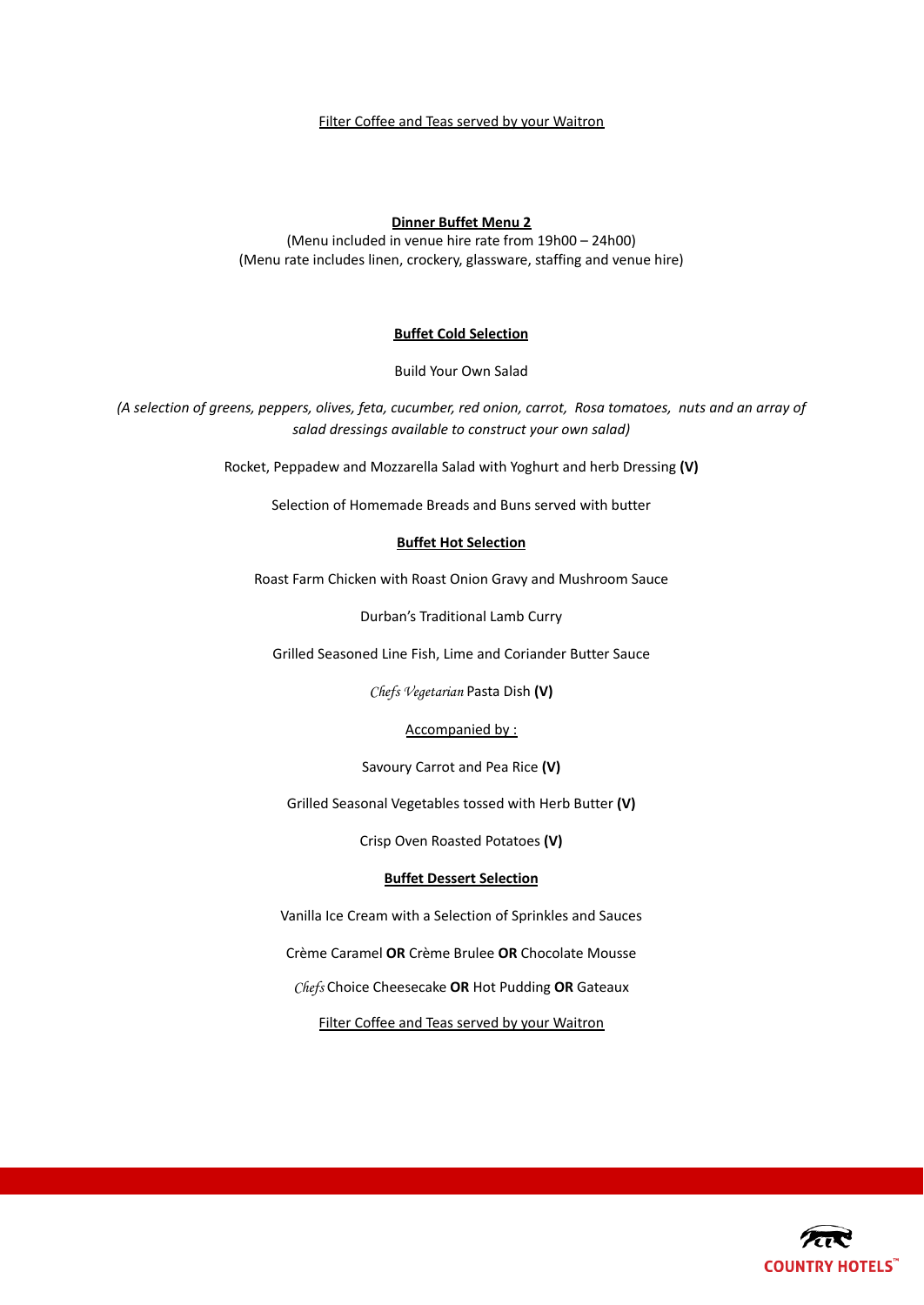#### Filter Coffee and Teas served by your Waitron

#### **Dinner Buffet Menu 2**

(Menu included in venue hire rate from 19h00 – 24h00) (Menu rate includes linen, crockery, glassware, staffing and venue hire)

# **Buffet Cold Selection**

Build Your Own Salad

(A selection of greens, peppers, olives, feta, cucumber, red onion, carrot, Rosa tomatoes, nuts and an array of *salad dressings available to construct your own salad)*

Rocket, Peppadew and Mozzarella Salad with Yoghurt and herb Dressing **(V)**

Selection of Homemade Breads and Buns served with butter

#### **Buffet Hot Selection**

Roast Farm Chicken with Roast Onion Gravy and Mushroom Sauce

Durban's Traditional Lamb Curry

Grilled Seasoned Line Fish, Lime and Coriander Butter Sauce

Chefs Vegetarian Pasta Dish **(V)**

#### Accompanied by :

Savoury Carrot and Pea Rice **(V)**

Grilled Seasonal Vegetables tossed with Herb Butter **(V)**

Crisp Oven Roasted Potatoes **(V)**

# **Buffet Dessert Selection**

Vanilla Ice Cream with a Selection of Sprinkles and Sauces

Crème Caramel **OR** Crème Brulee **OR** Chocolate Mousse

Chefs Choice Cheesecake **OR** Hot Pudding **OR** Gateaux

Filter Coffee and Teas served by your Waitron

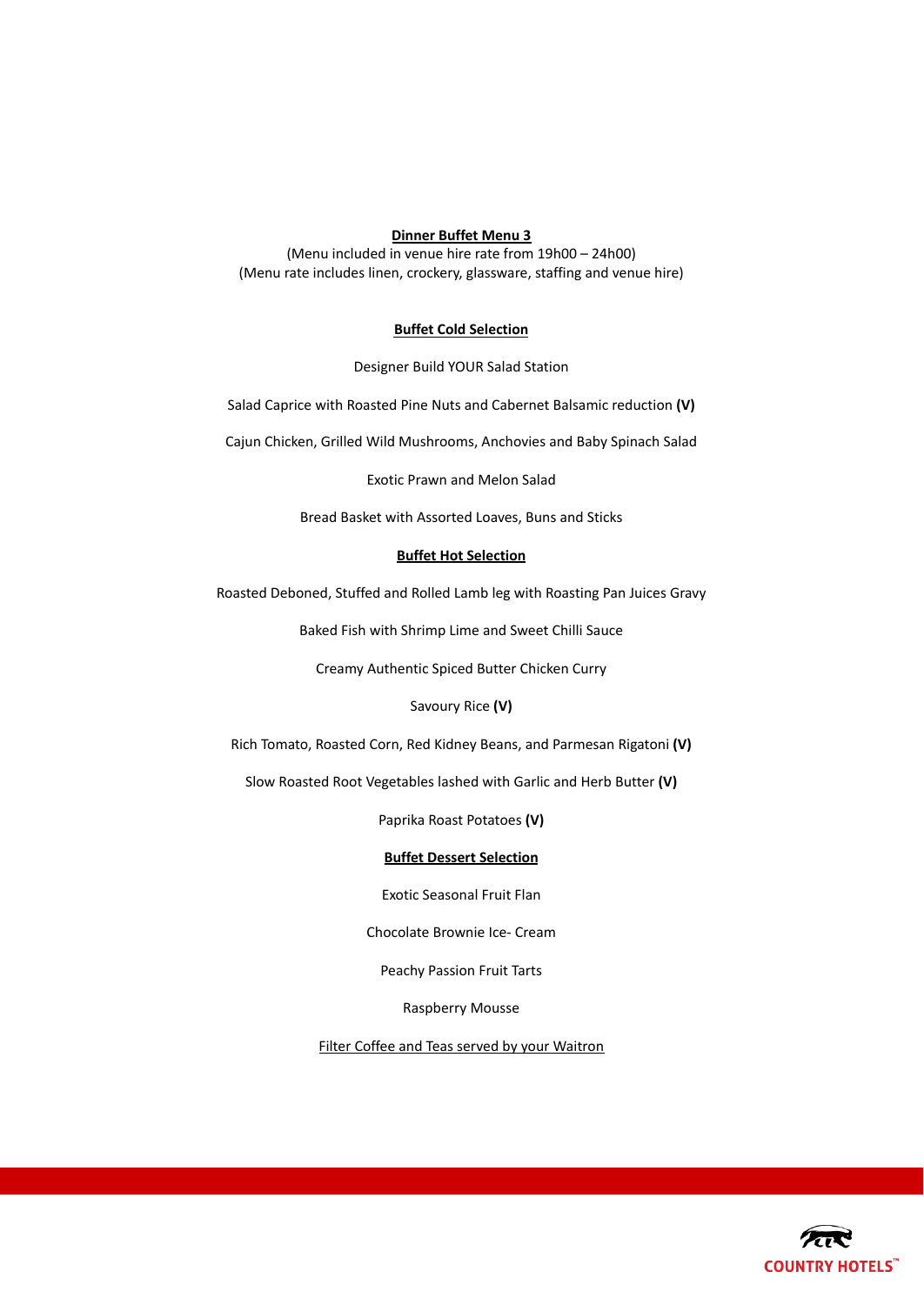# **Dinner Buffet Menu 3**

(Menu included in venue hire rate from 19h00 – 24h00) (Menu rate includes linen, crockery, glassware, staffing and venue hire)

#### **Buffet Cold Selection**

Designer Build YOUR Salad Station

Salad Caprice with Roasted Pine Nuts and Cabernet Balsamic reduction **(V)**

Cajun Chicken, Grilled Wild Mushrooms, Anchovies and Baby Spinach Salad

Exotic Prawn and Melon Salad

Bread Basket with Assorted Loaves, Buns and Sticks

# **Buffet Hot Selection**

Roasted Deboned, Stuffed and Rolled Lamb leg with Roasting Pan Juices Gravy

Baked Fish with Shrimp Lime and Sweet Chilli Sauce

Creamy Authentic Spiced Butter Chicken Curry

Savoury Rice **(V)**

Rich Tomato, Roasted Corn, Red Kidney Beans, and Parmesan Rigatoni **(V)**

Slow Roasted Root Vegetables lashed with Garlic and Herb Butter **(V)**

Paprika Roast Potatoes **(V)**

#### **Buffet Dessert Selection**

Exotic Seasonal Fruit Flan

Chocolate Brownie Ice- Cream

Peachy Passion Fruit Tarts

Raspberry Mousse

Filter Coffee and Teas served by your Waitron

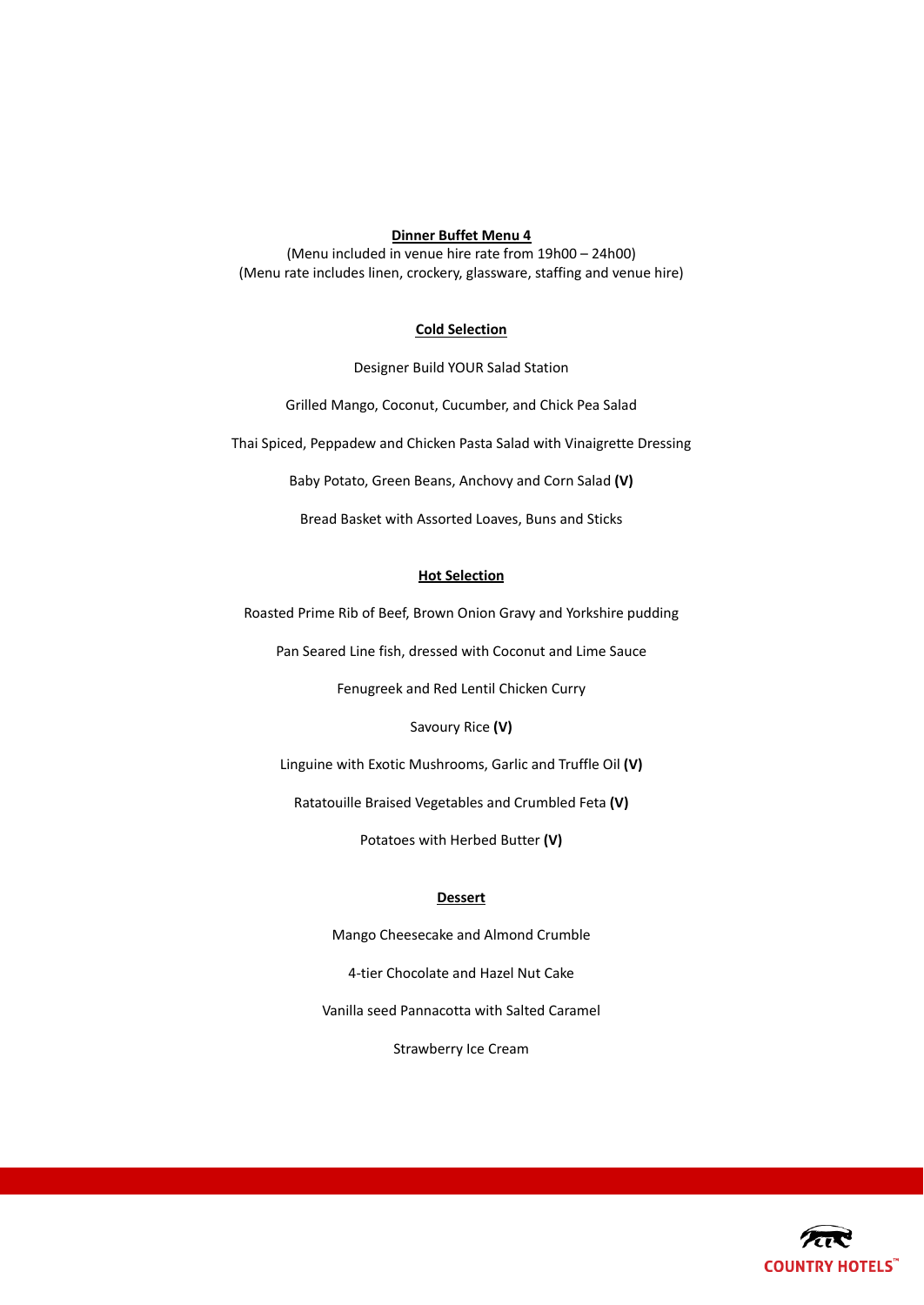# **Dinner Buffet Menu 4**

(Menu included in venue hire rate from 19h00 – 24h00) (Menu rate includes linen, crockery, glassware, staffing and venue hire)

# **Cold Selection**

Designer Build YOUR Salad Station

Grilled Mango, Coconut, Cucumber, and Chick Pea Salad

Thai Spiced, Peppadew and Chicken Pasta Salad with Vinaigrette Dressing

Baby Potato, Green Beans, Anchovy and Corn Salad **(V)**

Bread Basket with Assorted Loaves, Buns and Sticks

# **Hot Selection**

Roasted Prime Rib of Beef, Brown Onion Gravy and Yorkshire pudding

Pan Seared Line fish, dressed with Coconut and Lime Sauce

Fenugreek and Red Lentil Chicken Curry

Savoury Rice **(V)**

Linguine with Exotic Mushrooms, Garlic and Truffle Oil **(V)**

Ratatouille Braised Vegetables and Crumbled Feta **(V)**

Potatoes with Herbed Butter **(V)**

#### **Dessert**

Mango Cheesecake and Almond Crumble 4-tier Chocolate and Hazel Nut Cake Vanilla seed Pannacotta with Salted Caramel Strawberry Ice Cream

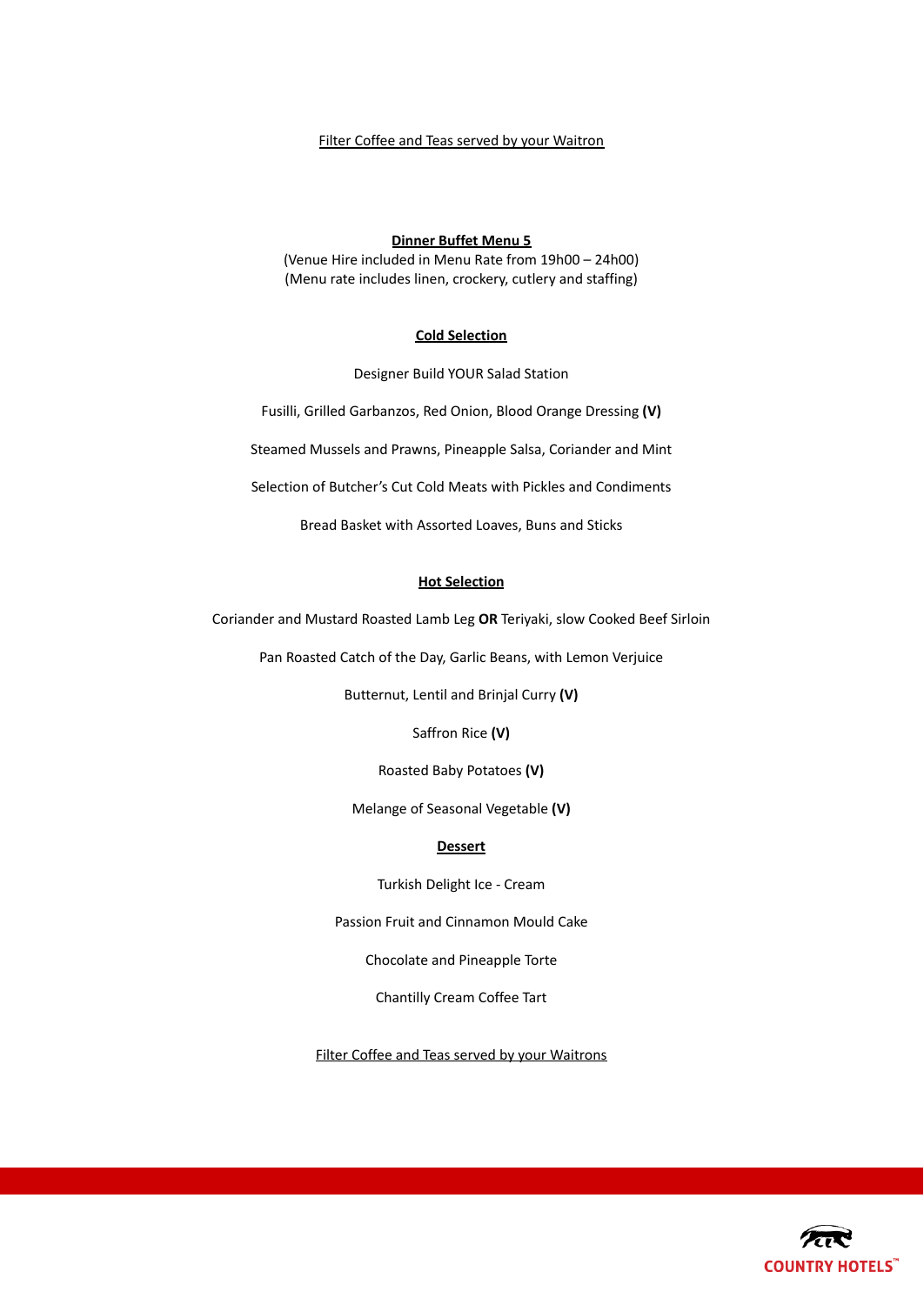# Filter Coffee and Teas served by your Waitron

#### **Dinner Buffet Menu 5**

(Venue Hire included in Menu Rate from 19h00 – 24h00) (Menu rate includes linen, crockery, cutlery and staffing)

# **Cold Selection**

Designer Build YOUR Salad Station

Fusilli, Grilled Garbanzos, Red Onion, Blood Orange Dressing **(V)**

Steamed Mussels and Prawns, Pineapple Salsa, Coriander and Mint

Selection of Butcher's Cut Cold Meats with Pickles and Condiments

Bread Basket with Assorted Loaves, Buns and Sticks

#### **Hot Selection**

Coriander and Mustard Roasted Lamb Leg **OR** Teriyaki, slow Cooked Beef Sirloin

Pan Roasted Catch of the Day, Garlic Beans, with Lemon Verjuice

Butternut, Lentil and Brinjal Curry **(V)**

Saffron Rice **(V)**

Roasted Baby Potatoes **(V)**

Melange of Seasonal Vegetable **(V)**

#### **Dessert**

Turkish Delight Ice - Cream

Passion Fruit and Cinnamon Mould Cake

Chocolate and Pineapple Torte

Chantilly Cream Coffee Tart

Filter Coffee and Teas served by your Waitrons

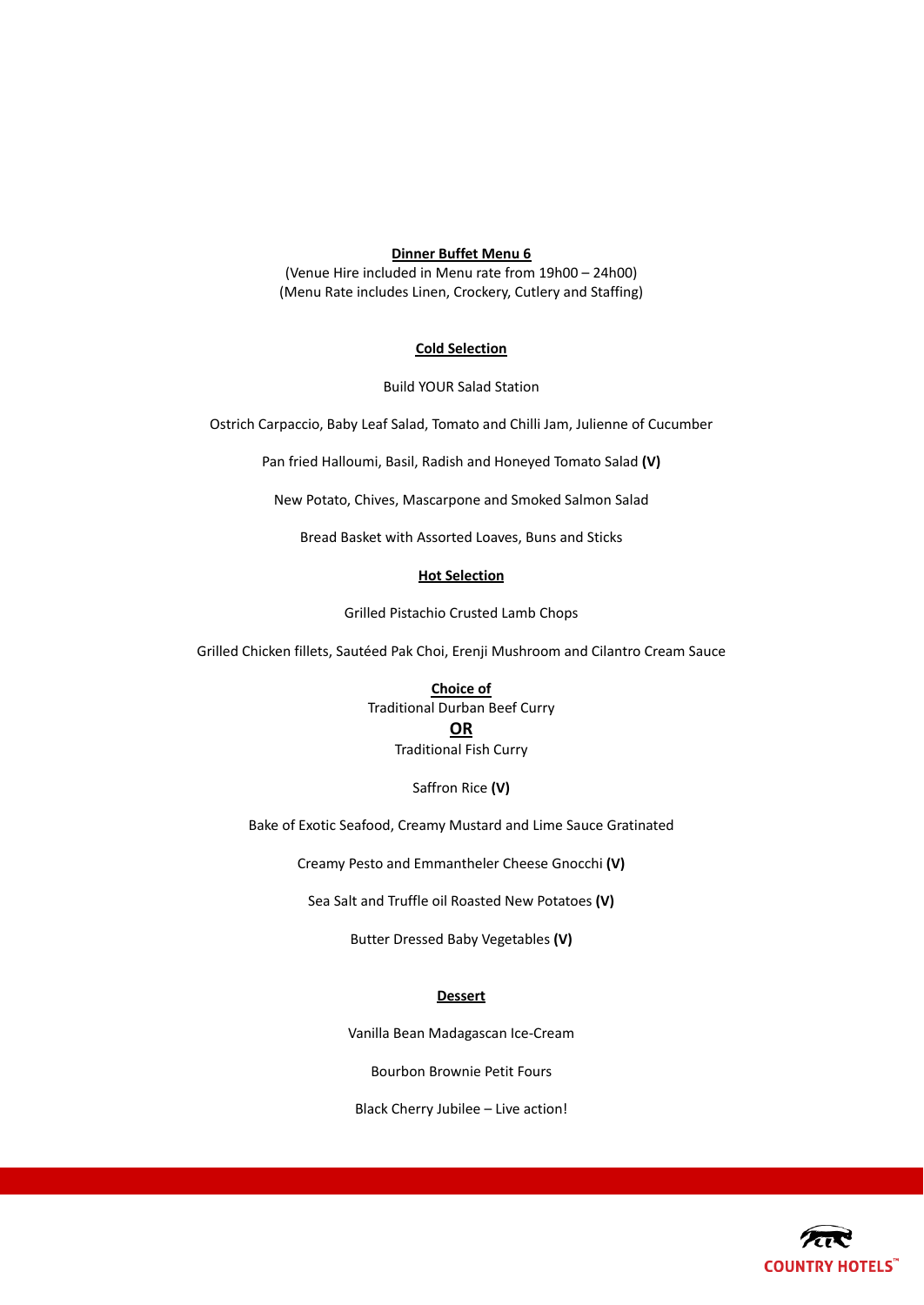# **Dinner Buffet Menu 6**

(Venue Hire included in Menu rate from 19h00 – 24h00) (Menu Rate includes Linen, Crockery, Cutlery and Staffing)

# **Cold Selection**

Build YOUR Salad Station

Ostrich Carpaccio, Baby Leaf Salad, Tomato and Chilli Jam, Julienne of Cucumber

Pan fried Halloumi, Basil, Radish and Honeyed Tomato Salad **(V)**

New Potato, Chives, Mascarpone and Smoked Salmon Salad

Bread Basket with Assorted Loaves, Buns and Sticks

#### **Hot Selection**

Grilled Pistachio Crusted Lamb Chops

Grilled Chicken fillets, Sautéed Pak Choi, Erenji Mushroom and Cilantro Cream Sauce

**Choice of**

Traditional Durban Beef Curry

#### **OR**

Traditional Fish Curry

Saffron Rice **(V)**

Bake of Exotic Seafood, Creamy Mustard and Lime Sauce Gratinated

Creamy Pesto and Emmantheler Cheese Gnocchi **(V)**

Sea Salt and Truffle oil Roasted New Potatoes **(V)**

Butter Dressed Baby Vegetables **(V)**

#### **Dessert**

Vanilla Bean Madagascan Ice-Cream

Bourbon Brownie Petit Fours

Black Cherry Jubilee – Live action!

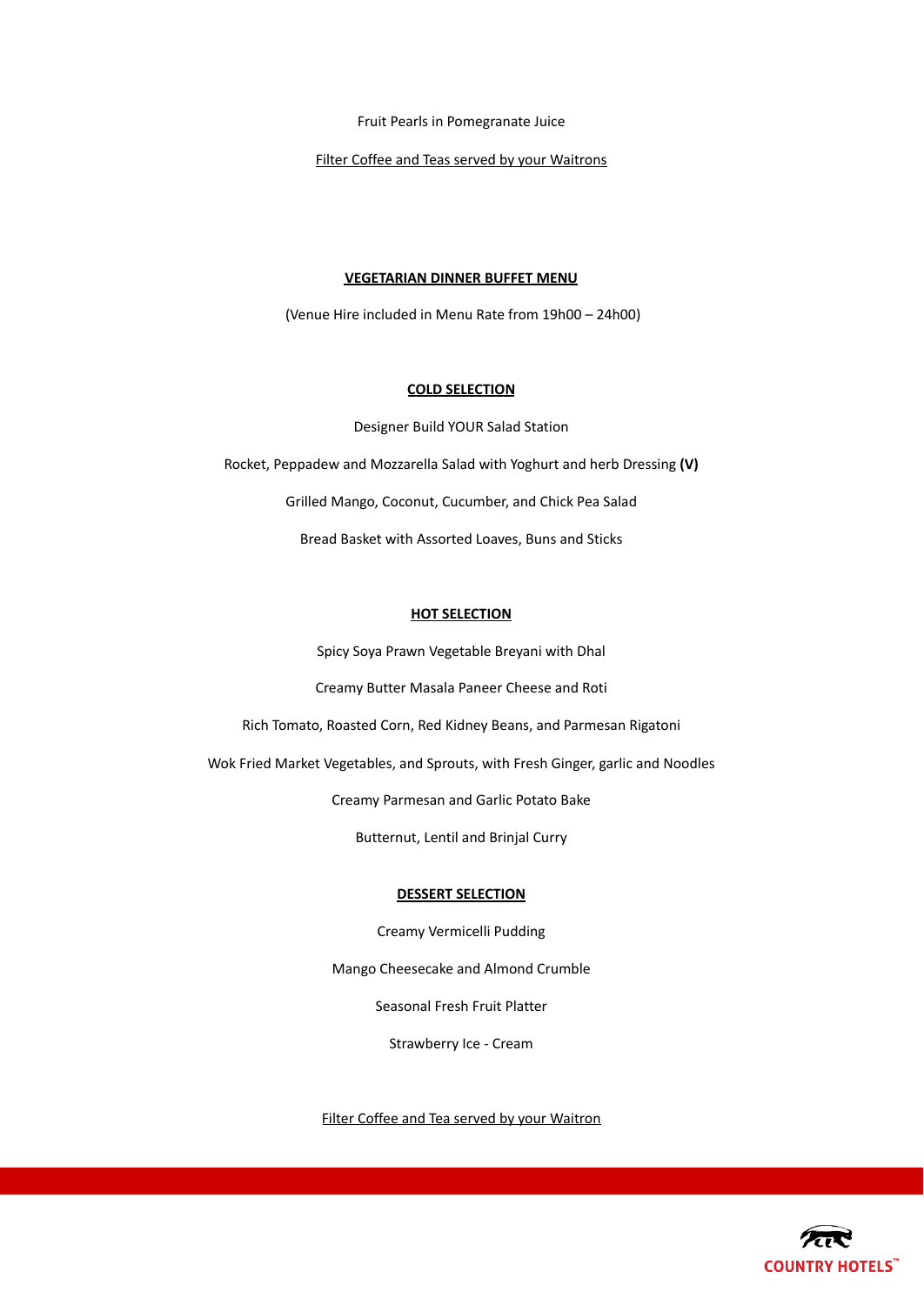Fruit Pearls in Pomegranate Juice

Filter Coffee and Teas served by your Waitrons

#### **VEGETARIAN DINNER BUFFET MENU**

(Venue Hire included in Menu Rate from 19h00 – 24h00)

# **COLD SELECTION**

Designer Build YOUR Salad Station Rocket, Peppadew and Mozzarella Salad with Yoghurt and herb Dressing **(V)** Grilled Mango, Coconut, Cucumber, and Chick Pea Salad Bread Basket with Assorted Loaves, Buns and Sticks

#### **HOT SELECTION**

Spicy Soya Prawn Vegetable Breyani with Dhal

Creamy Butter Masala Paneer Cheese and Roti

Rich Tomato, Roasted Corn, Red Kidney Beans, and Parmesan Rigatoni

Wok Fried Market Vegetables, and Sprouts, with Fresh Ginger, garlic and Noodles

Creamy Parmesan and Garlic Potato Bake

Butternut, Lentil and Brinjal Curry

# **DESSERT SELECTION**

Creamy Vermicelli Pudding

Mango Cheesecake and Almond Crumble

Seasonal Fresh Fruit Platter

Strawberry Ice - Cream

Filter Coffee and Tea served by your Waitron

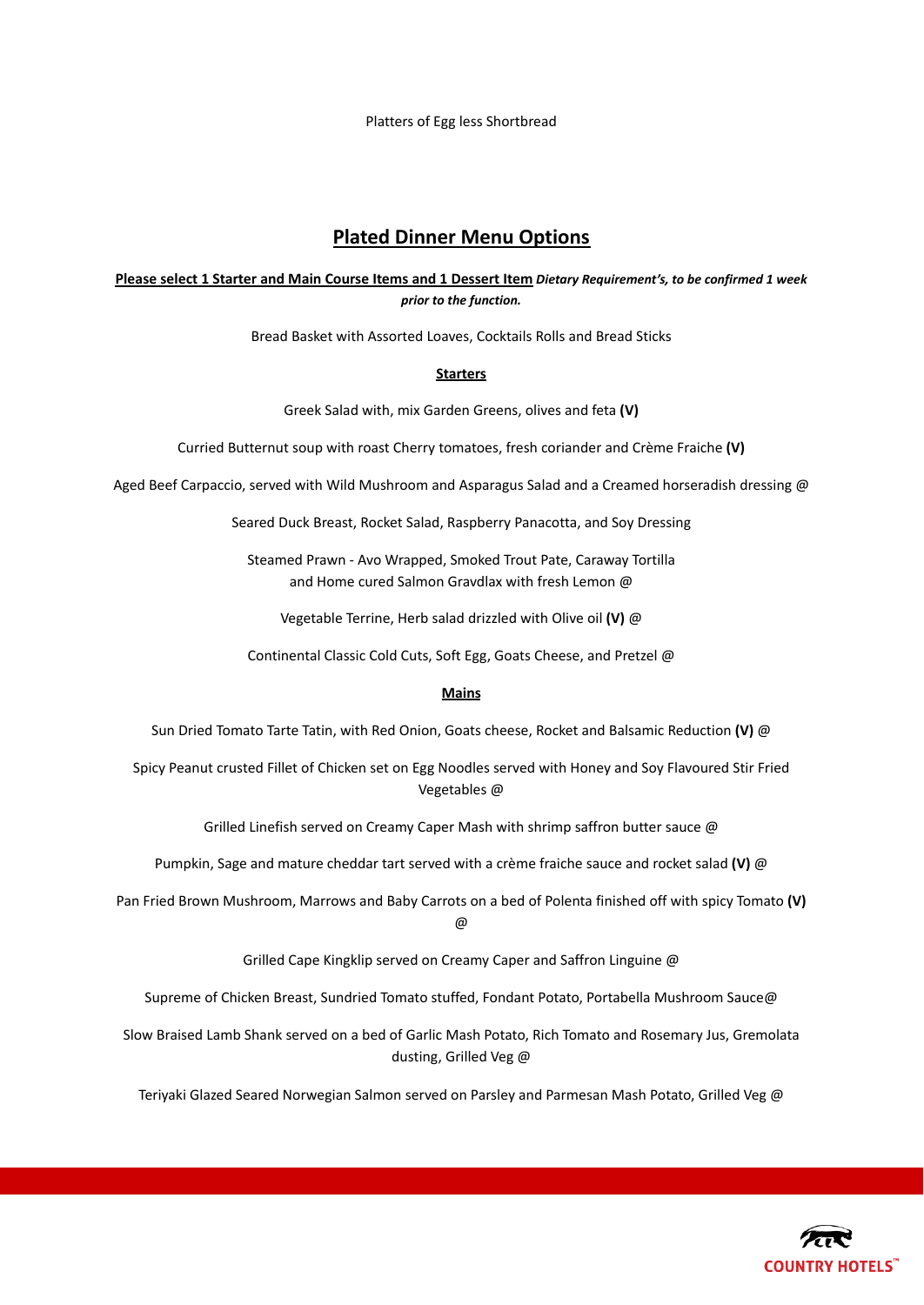Platters of Egg less Shortbread

# **Plated Dinner Menu Options**

# **Please select 1 Starter and Main Course Items and 1 Dessert Item** *Dietary Requirement's, to be confirmed 1 week prior to the function.*

Bread Basket with Assorted Loaves, Cocktails Rolls and Bread Sticks

#### **Starters**

Greek Salad with, mix Garden Greens, olives and feta **(V)**

Curried Butternut soup with roast Cherry tomatoes, fresh coriander and Crème Fraiche **(V)**

Aged Beef Carpaccio, served with Wild Mushroom and Asparagus Salad and a Creamed horseradish dressing @

Seared Duck Breast, Rocket Salad, Raspberry Panacotta, and Soy Dressing

Steamed Prawn - Avo Wrapped, Smoked Trout Pate, Caraway Tortilla and Home cured Salmon Gravdlax with fresh Lemon @

Vegetable Terrine, Herb salad drizzled with Olive oil **(V)** @

Continental Classic Cold Cuts, Soft Egg, Goats Cheese, and Pretzel @

# **Mains**

Sun Dried Tomato Tarte Tatin, with Red Onion, Goats cheese, Rocket and Balsamic Reduction **(V)** @

Spicy Peanut crusted Fillet of Chicken set on Egg Noodles served with Honey and Soy Flavoured Stir Fried Vegetables @

Grilled Linefish served on Creamy Caper Mash with shrimp saffron butter sauce @

Pumpkin, Sage and mature cheddar tart served with a crème fraiche sauce and rocket salad **(V)** @

Pan Fried Brown Mushroom, Marrows and Baby Carrots on a bed of Polenta finished off with spicy Tomato **(V)** @

Grilled Cape Kingklip served on Creamy Caper and Saffron Linguine @

Supreme of Chicken Breast, Sundried Tomato stuffed, Fondant Potato, Portabella Mushroom Sauce@

Slow Braised Lamb Shank served on a bed of Garlic Mash Potato, Rich Tomato and Rosemary Jus, Gremolata dusting, Grilled Veg @

Teriyaki Glazed Seared Norwegian Salmon served on Parsley and Parmesan Mash Potato, Grilled Veg @

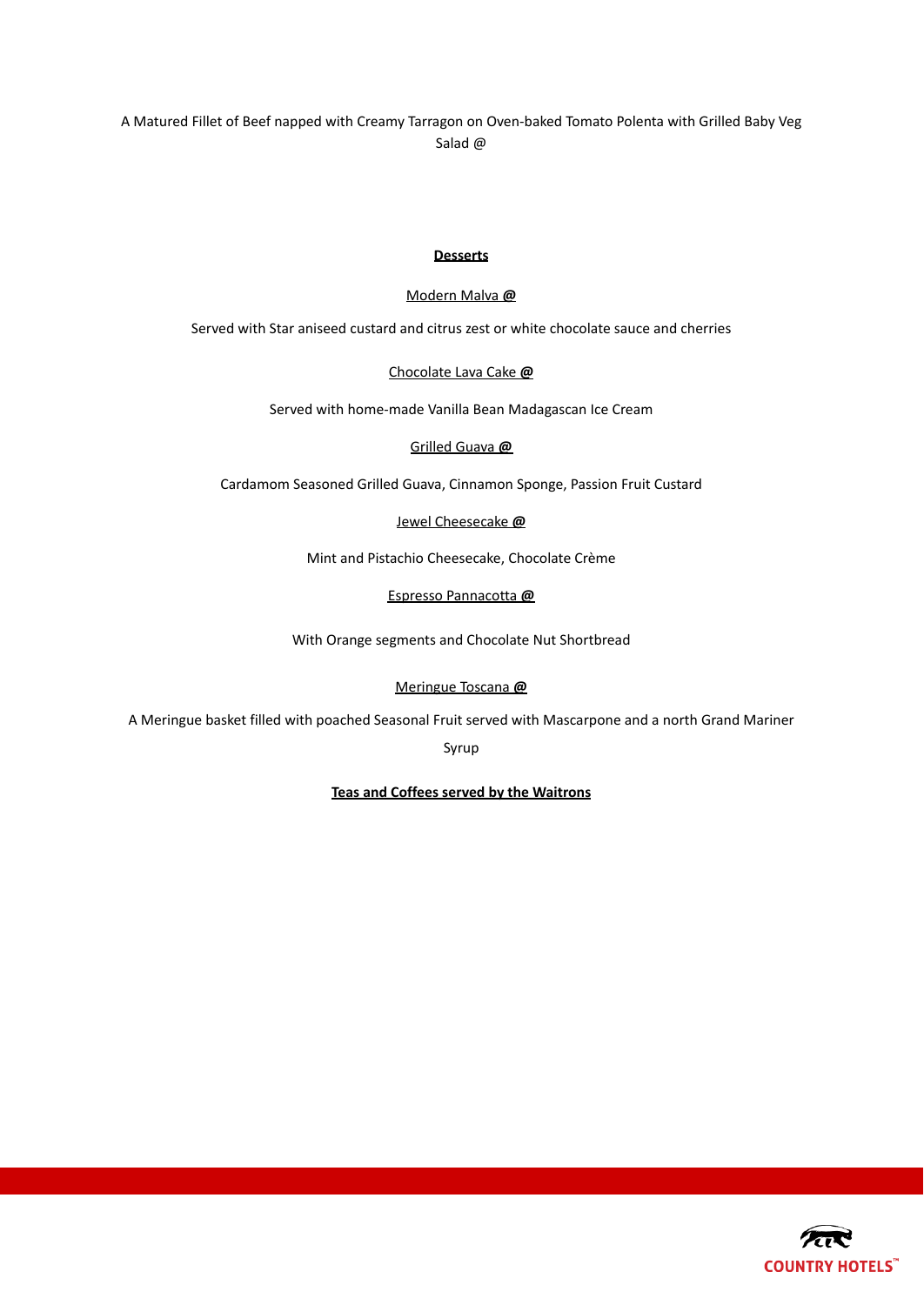A Matured Fillet of Beef napped with Creamy Tarragon on Oven-baked Tomato Polenta with Grilled Baby Veg Salad @

# **Desserts**

# Modern Malva **@**

Served with Star aniseed custard and citrus zest or white chocolate sauce and cherries

# Chocolate Lava Cake **@**

Served with home-made Vanilla Bean Madagascan Ice Cream

# Grilled Guava **@**

Cardamom Seasoned Grilled Guava, Cinnamon Sponge, Passion Fruit Custard

# Jewel Cheesecake **@**

Mint and Pistachio Cheesecake, Chocolate Crème

# Espresso Pannacotta **@**

With Orange segments and Chocolate Nut Shortbread

# Meringue Toscana **@**

A Meringue basket filled with poached Seasonal Fruit served with Mascarpone and a north Grand Mariner

Syrup

# **Teas and Coffees served by the Waitrons**

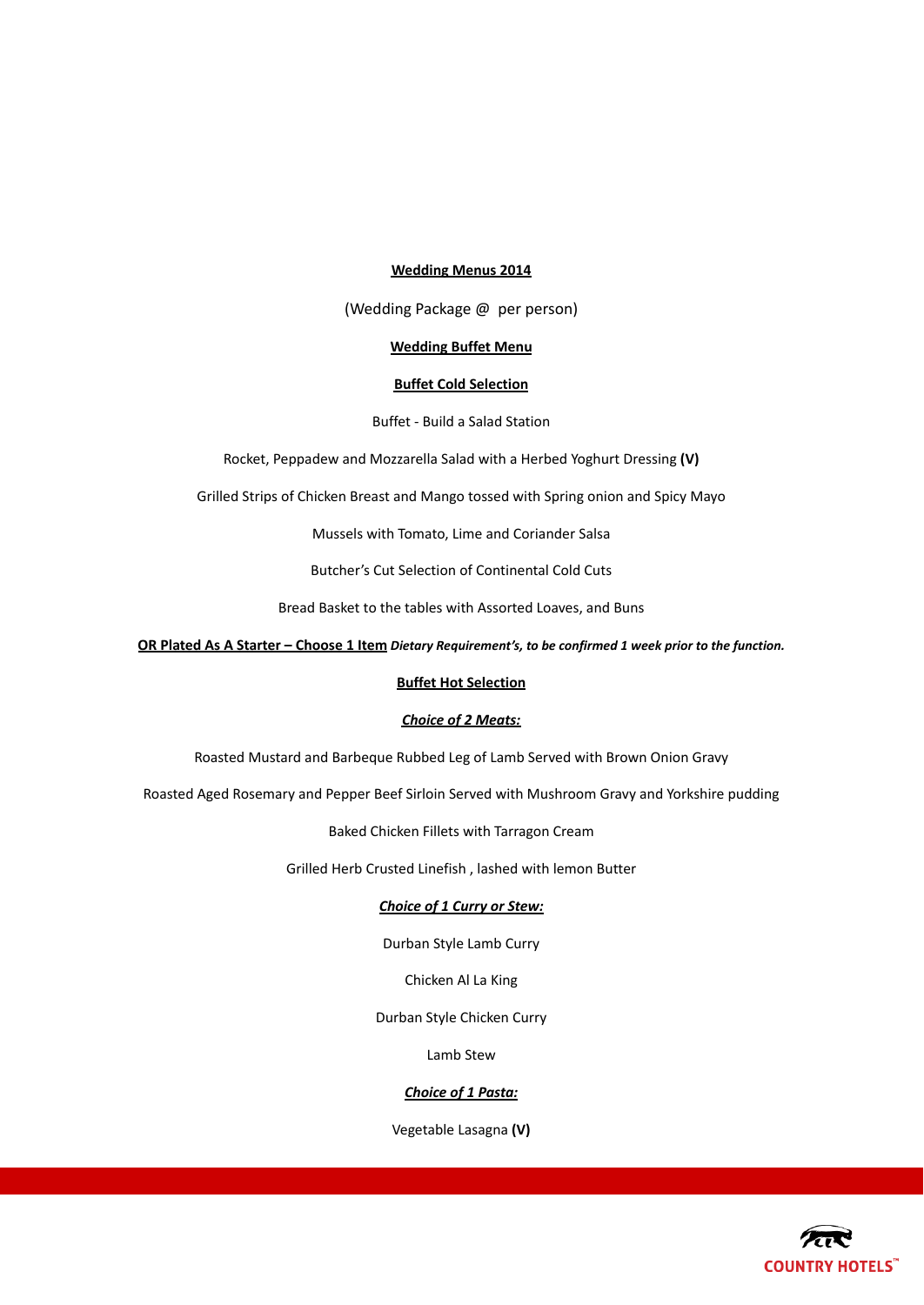# **Wedding Menus 2014**

(Wedding Package @ per person)

#### **Wedding Buffet Menu**

# **Buffet Cold Selection**

Buffet - Build a Salad Station

Rocket, Peppadew and Mozzarella Salad with a Herbed Yoghurt Dressing **(V)**

Grilled Strips of Chicken Breast and Mango tossed with Spring onion and Spicy Mayo

Mussels with Tomato, Lime and Coriander Salsa

Butcher's Cut Selection of Continental Cold Cuts

Bread Basket to the tables with Assorted Loaves, and Buns

**OR Plated As A Starter – Choose 1 Item** *Dietary Requirement's, to be confirmed 1 week prior to the function.*

# **Buffet Hot Selection**

# *Choice of 2 Meats:*

Roasted Mustard and Barbeque Rubbed Leg of Lamb Served with Brown Onion Gravy

Roasted Aged Rosemary and Pepper Beef Sirloin Served with Mushroom Gravy and Yorkshire pudding

Baked Chicken Fillets with Tarragon Cream

Grilled Herb Crusted Linefish , lashed with lemon Butter

# *Choice of 1 Curry or Stew:*

Durban Style Lamb Curry

Chicken Al La King

Durban Style Chicken Curry

Lamb Stew

# *Choice of 1 Pasta:*

Vegetable Lasagna **(V)**

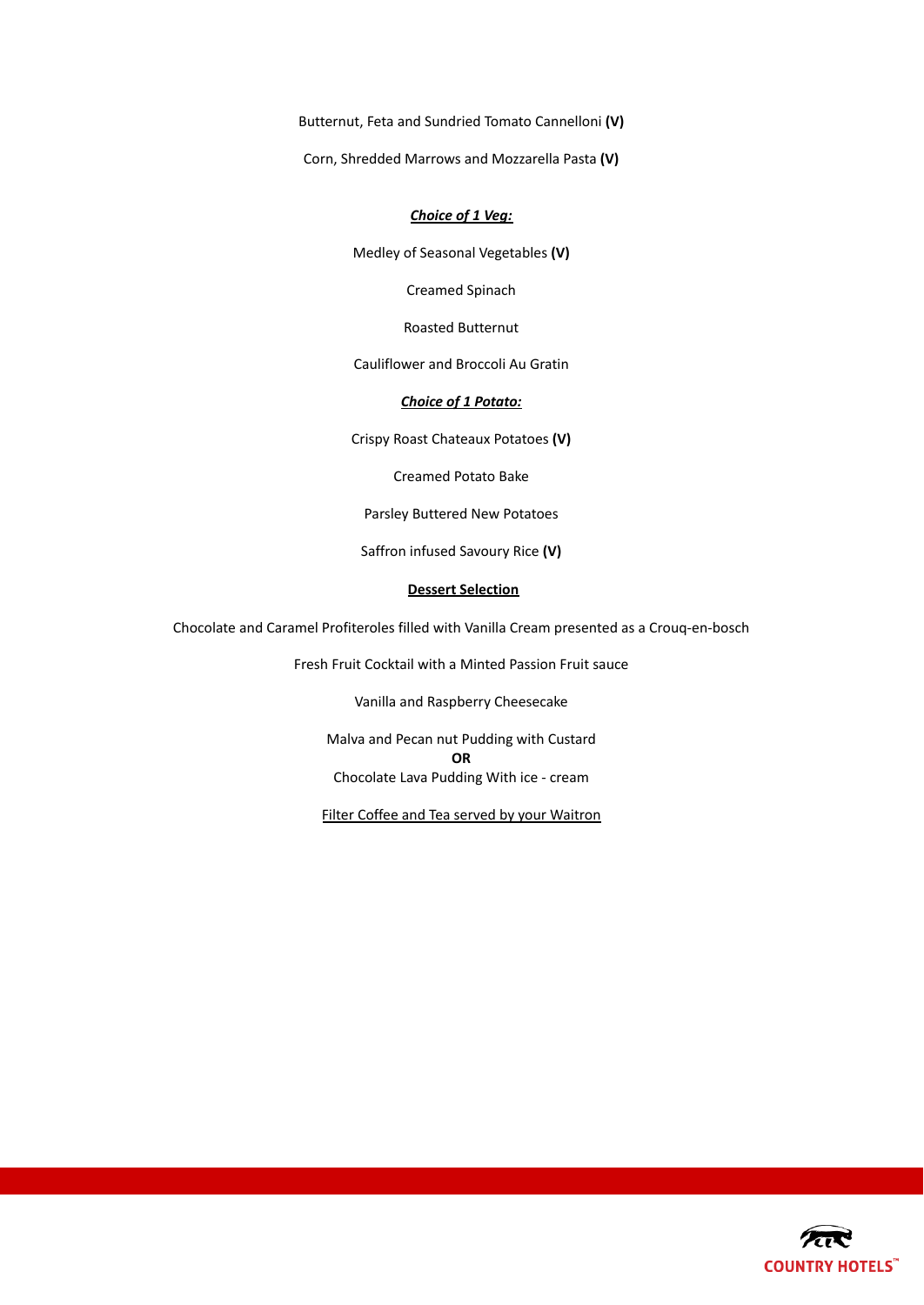Butternut, Feta and Sundried Tomato Cannelloni **(V)**

Corn, Shredded Marrows and Mozzarella Pasta **(V)**

# *Choice of 1 Veg:*

Medley of Seasonal Vegetables **(V)**

Creamed Spinach

Roasted Butternut

Cauliflower and Broccoli Au Gratin

# *Choice of 1 Potato:*

Crispy Roast Chateaux Potatoes **(V)**

Creamed Potato Bake

Parsley Buttered New Potatoes

Saffron infused Savoury Rice **(V)**

# **Dessert Selection**

Chocolate and Caramel Profiteroles filled with Vanilla Cream presented as a Crouq-en-bosch

Fresh Fruit Cocktail with a Minted Passion Fruit sauce

Vanilla and Raspberry Cheesecake

Malva and Pecan nut Pudding with Custard **OR** Chocolate Lava Pudding With ice - cream

Filter Coffee and Tea served by your Waitron

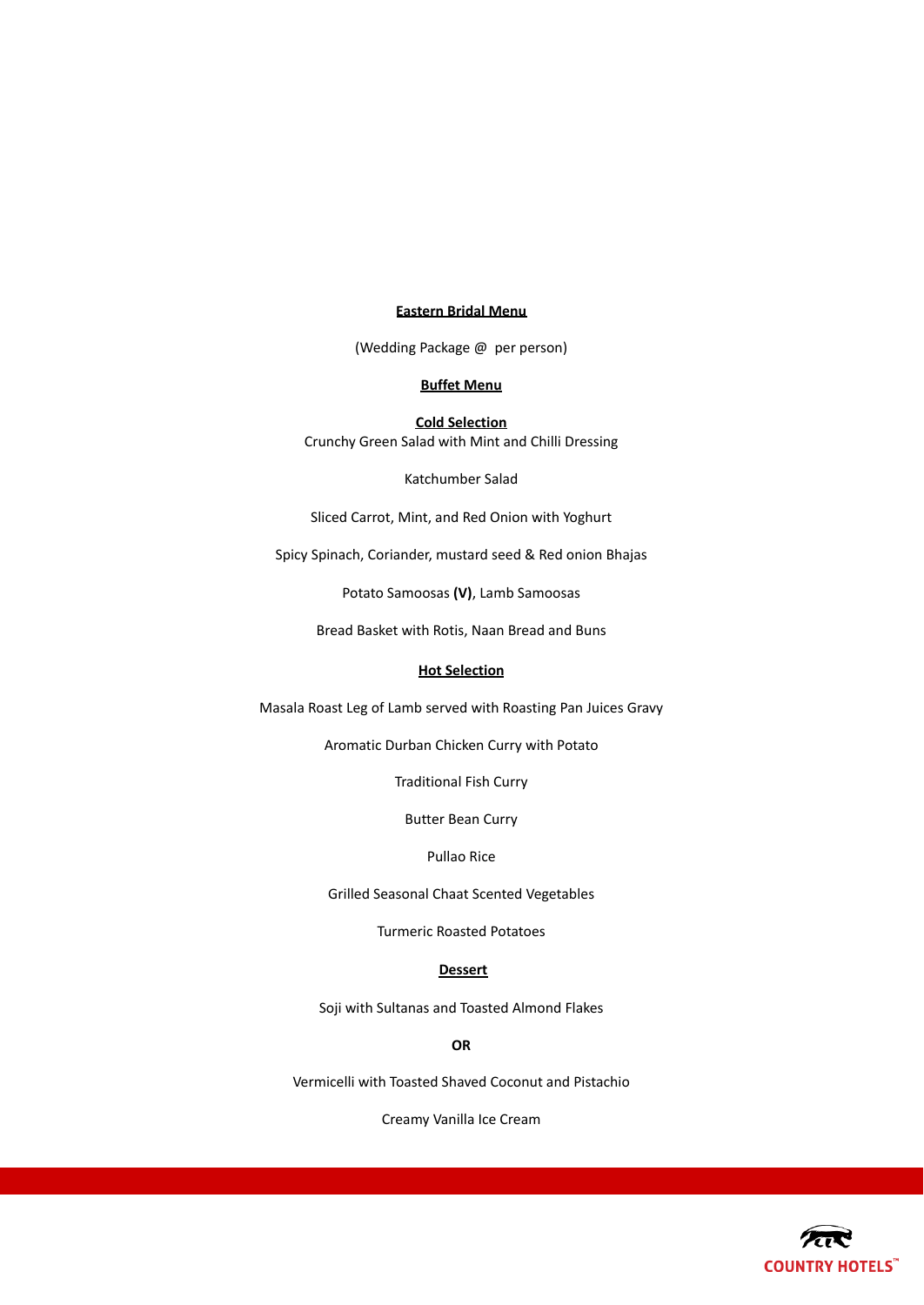#### **Eastern Bridal Menu**

(Wedding Package @ per person)

# **Buffet Menu**

**Cold Selection** Crunchy Green Salad with Mint and Chilli Dressing

Katchumber Salad

Sliced Carrot, Mint, and Red Onion with Yoghurt

Spicy Spinach, Coriander, mustard seed & Red onion Bhajas

Potato Samoosas **(V)**, Lamb Samoosas

Bread Basket with Rotis, Naan Bread and Buns

# **Hot Selection**

Masala Roast Leg of Lamb served with Roasting Pan Juices Gravy

Aromatic Durban Chicken Curry with Potato

Traditional Fish Curry

Butter Bean Curry

Pullao Rice

Grilled Seasonal Chaat Scented Vegetables

Turmeric Roasted Potatoes

# **Dessert**

Soji with Sultanas and Toasted Almond Flakes

**OR**

Vermicelli with Toasted Shaved Coconut and Pistachio

Creamy Vanilla Ice Cream

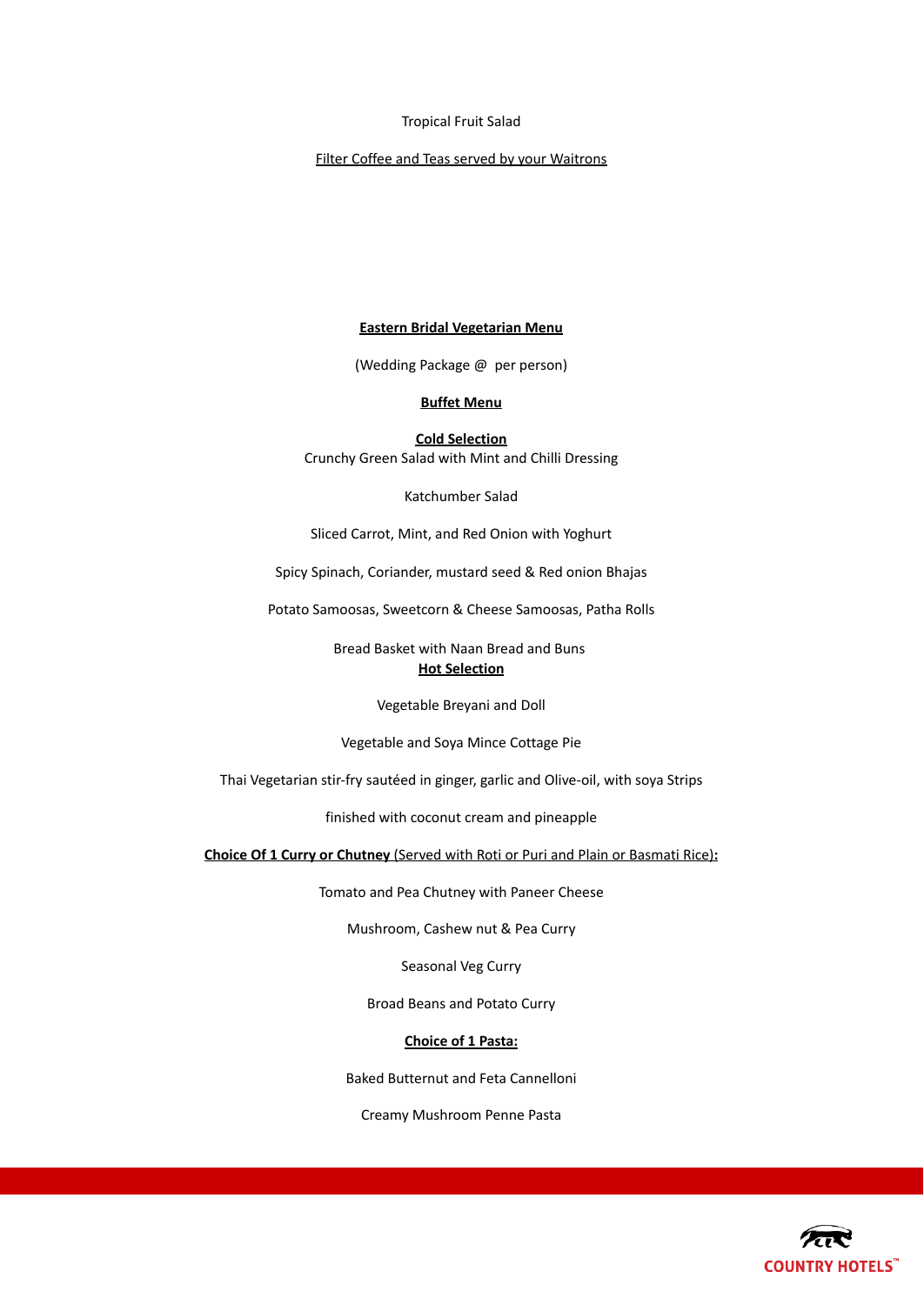#### Tropical Fruit Salad

# Filter Coffee and Teas served by your Waitrons

# **Eastern Bridal Vegetarian Menu**

(Wedding Package @ per person)

# **Buffet Menu**

**Cold Selection** Crunchy Green Salad with Mint and Chilli Dressing

Katchumber Salad

Sliced Carrot, Mint, and Red Onion with Yoghurt

Spicy Spinach, Coriander, mustard seed & Red onion Bhajas

Potato Samoosas, Sweetcorn & Cheese Samoosas, Patha Rolls

Bread Basket with Naan Bread and Buns **Hot Selection**

Vegetable Breyani and Doll

Vegetable and Soya Mince Cottage Pie

Thai Vegetarian stir-fry sautéed in ginger, garlic and Olive-oil, with soya Strips

finished with coconut cream and pineapple

**Choice Of 1 Curry or Chutney** (Served with Roti or Puri and Plain or Basmati Rice)**:**

Tomato and Pea Chutney with Paneer Cheese

Mushroom, Cashew nut & Pea Curry

Seasonal Veg Curry

Broad Beans and Potato Curry

# **Choice of 1 Pasta:**

Baked Butternut and Feta Cannelloni

Creamy Mushroom Penne Pasta

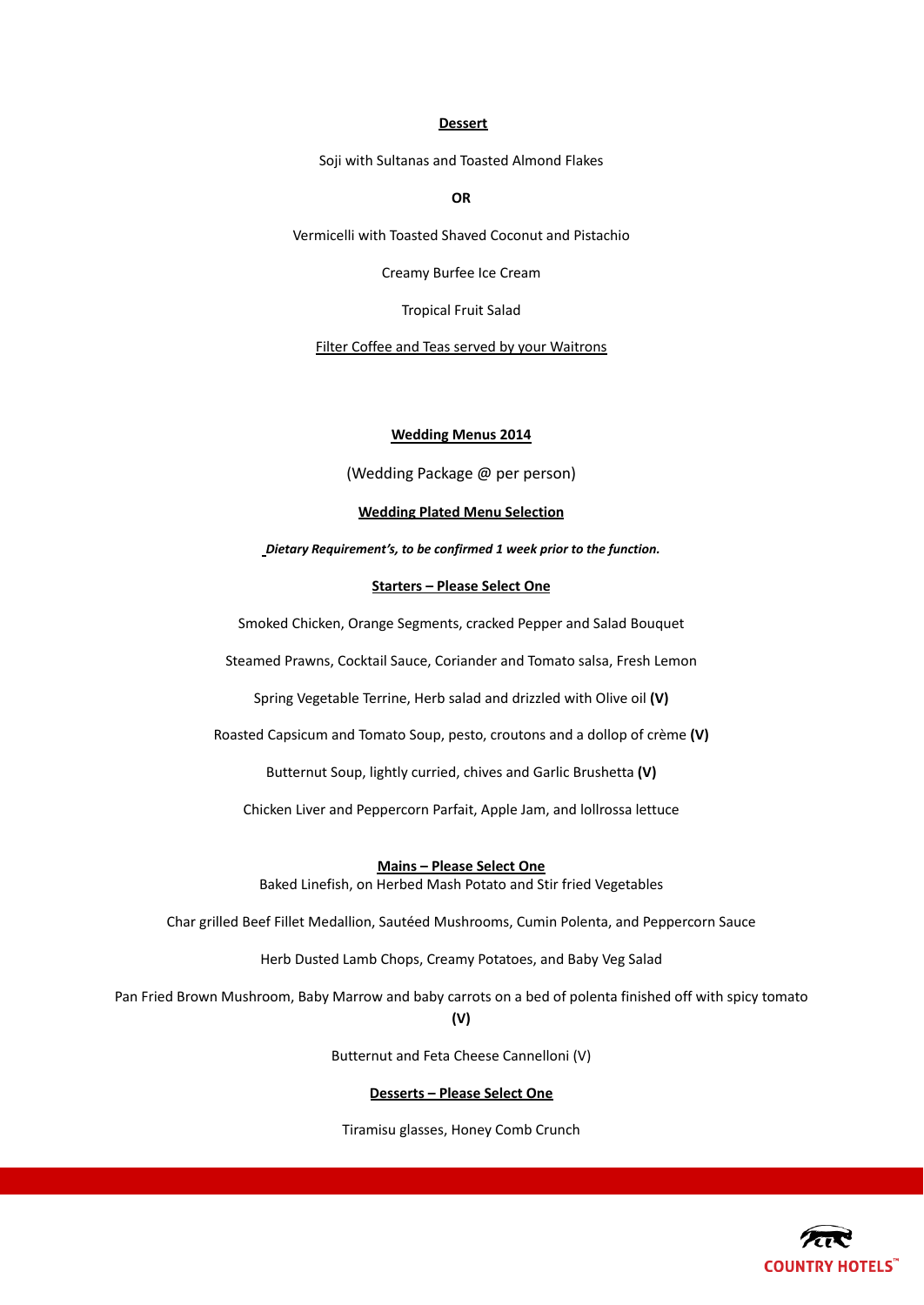#### **Dessert**

Soji with Sultanas and Toasted Almond Flakes

**OR**

Vermicelli with Toasted Shaved Coconut and Pistachio

Creamy Burfee Ice Cream

Tropical Fruit Salad

Filter Coffee and Teas served by your Waitrons

# **Wedding Menus 2014**

(Wedding Package @ per person)

#### **Wedding Plated Menu Selection**

*Dietary Requirement's, to be confirmed 1 week prior to the function.*

#### **Starters – Please Select One**

Smoked Chicken, Orange Segments, cracked Pepper and Salad Bouquet

Steamed Prawns, Cocktail Sauce, Coriander and Tomato salsa, Fresh Lemon

Spring Vegetable Terrine, Herb salad and drizzled with Olive oil **(V)**

Roasted Capsicum and Tomato Soup, pesto, croutons and a dollop of crème **(V)**

Butternut Soup, lightly curried, chives and Garlic Brushetta **(V)**

Chicken Liver and Peppercorn Parfait, Apple Jam, and lollrossa lettuce

**Mains – Please Select One** Baked Linefish, on Herbed Mash Potato and Stir fried Vegetables

Char grilled Beef Fillet Medallion, Sautéed Mushrooms, Cumin Polenta, and Peppercorn Sauce

Herb Dusted Lamb Chops, Creamy Potatoes, and Baby Veg Salad

Pan Fried Brown Mushroom, Baby Marrow and baby carrots on a bed of polenta finished off with spicy tomato

**(V)**

Butternut and Feta Cheese Cannelloni (V)

# **Desserts – Please Select One**

Tiramisu glasses, Honey Comb Crunch